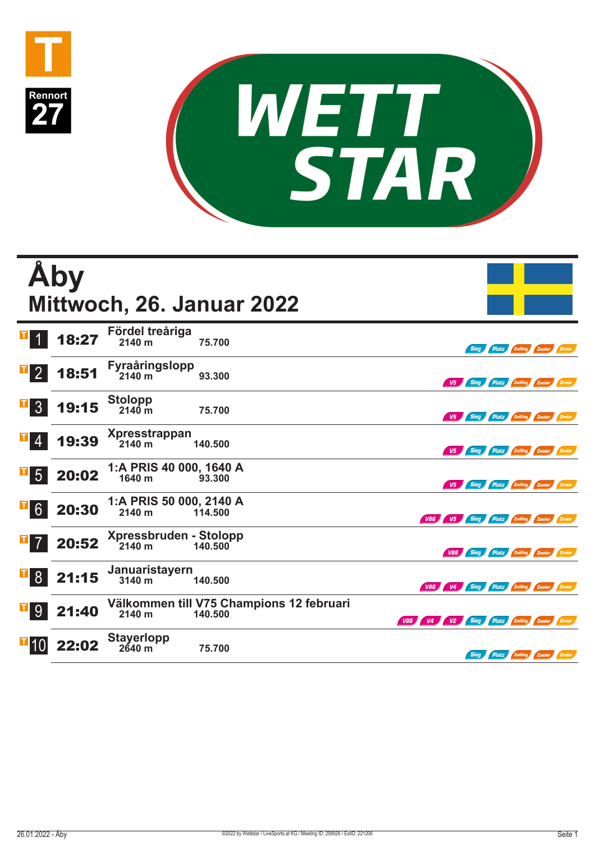



|                         | Åby   |                                           | Mittwoch, 26. Januar 2022                           |                                             |                                          |                                     |  |
|-------------------------|-------|-------------------------------------------|-----------------------------------------------------|---------------------------------------------|------------------------------------------|-------------------------------------|--|
|                         | 18:27 | Fördel treåriga<br>2140 m                 | 75.700                                              |                                             | Sieg                                     | <b>Platz Zwilling Zweier Dreier</b> |  |
| 2 <sup>1</sup>          | 18:51 | <b>Fyraåringslopp</b><br>$2140 \text{ m}$ | 93,300                                              |                                             | V5 Sieg Platz Zwilling Zweier Dreier     |                                     |  |
| 3 <sup>°</sup>          | 19:15 | <b>Stolopp</b><br>$2140 \text{ m}$        | 75.700                                              |                                             | V5 Sieg Platz Zwilling Zweier Dreier     |                                     |  |
| 4                       | 19:39 | <b>Xpresstrappan</b><br>2140 m            | 140,500                                             |                                             | V5 Sieg Platz Zwilling Zweier Dreier     |                                     |  |
| 5 <sup>1</sup>          | 20:02 | 1:A PRIS 40 000, 1640 A<br>1640 m         | 93,300                                              |                                             | V5 Sieg Platz Zwilling Zweier Dreier     |                                     |  |
| i i p<br>6 <sup>1</sup> | 20:30 | 1:A PRIS 50 000, 2140 A<br>2140 m         | 114.500                                             |                                             | V86 V5 Sieg Platz Zwilling Zweier Dreier |                                     |  |
|                         | 20:52 | Xpressbruden - Stolopp<br>2140 m          | 140.500                                             |                                             | V86 Sieg Platz Zwilling Zweier Dreier    |                                     |  |
| 8 <sup>°</sup>          | 21:15 | Januaristayern<br>3140 m                  | 140,500                                             |                                             | V86 V4 Sieg Platz Zwilling Zweier Dreier |                                     |  |
| 9                       | 21:40 | 2140 m                                    | Välkommen till V75 Champions 12 februari<br>140.500 | V86 V4 V2 Sieg Platz Zwilling Zweier Dreier |                                          |                                     |  |
|                         | 22:02 | <b>Stayerlopp</b><br>2640 m               | 75.700                                              |                                             | Sieg                                     | Platz Zwilling Zweier Dreier        |  |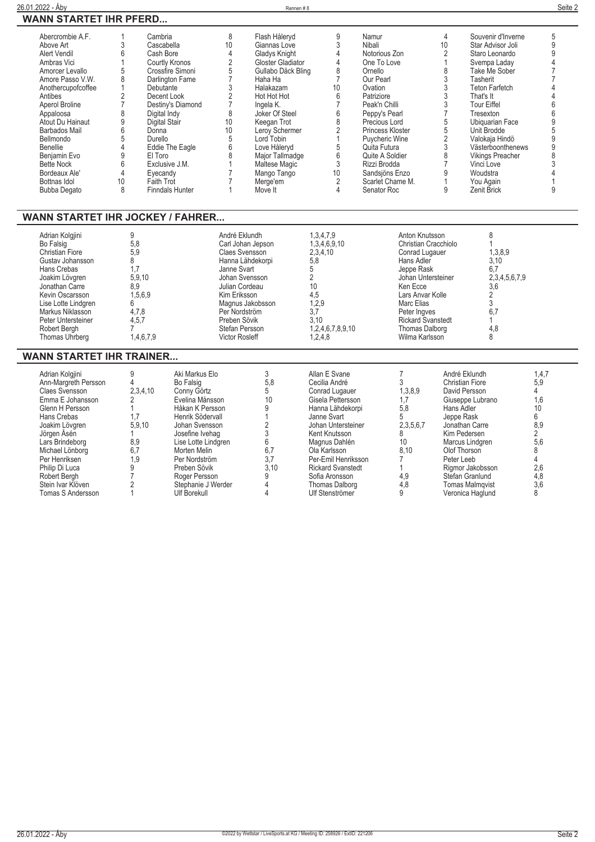| <u> 26.01.2022 - Åby</u>                                                                                                                                                                                                                                                                                                              |                                                                                                                                                                                                                                                                                                         |                                                                                                                                                                                                          |                                                                                                                                                                                                                                                    | Rennen #8                                                                                                                                                                                                                                                                                                |                                                                                                                                                                                                         |                                                                                                                                                                                                                                                                                                   |                                                                                                                                                                                     |                                                                                                                                                                                                                                                                                                                                           | Seite 2                                                                                                 |
|---------------------------------------------------------------------------------------------------------------------------------------------------------------------------------------------------------------------------------------------------------------------------------------------------------------------------------------|---------------------------------------------------------------------------------------------------------------------------------------------------------------------------------------------------------------------------------------------------------------------------------------------------------|----------------------------------------------------------------------------------------------------------------------------------------------------------------------------------------------------------|----------------------------------------------------------------------------------------------------------------------------------------------------------------------------------------------------------------------------------------------------|----------------------------------------------------------------------------------------------------------------------------------------------------------------------------------------------------------------------------------------------------------------------------------------------------------|---------------------------------------------------------------------------------------------------------------------------------------------------------------------------------------------------------|---------------------------------------------------------------------------------------------------------------------------------------------------------------------------------------------------------------------------------------------------------------------------------------------------|-------------------------------------------------------------------------------------------------------------------------------------------------------------------------------------|-------------------------------------------------------------------------------------------------------------------------------------------------------------------------------------------------------------------------------------------------------------------------------------------------------------------------------------------|---------------------------------------------------------------------------------------------------------|
| <b>WANN STARTET IHR PFERD</b>                                                                                                                                                                                                                                                                                                         |                                                                                                                                                                                                                                                                                                         |                                                                                                                                                                                                          |                                                                                                                                                                                                                                                    |                                                                                                                                                                                                                                                                                                          |                                                                                                                                                                                                         |                                                                                                                                                                                                                                                                                                   |                                                                                                                                                                                     |                                                                                                                                                                                                                                                                                                                                           |                                                                                                         |
| Abercrombie A.F.<br>Above Art<br>Alert Vendil<br>Ambras Vici<br>Amorcer Levallo<br>Amore Passo V.W.<br>Anothercupofcoffee<br>Antibes<br>Aperol Broline<br>Appaloosa<br>Atout Du Hainaut<br><b>Barbados Mail</b><br>Bellmondo<br><b>Benellie</b><br>Benjamin Evo<br><b>Bette Nock</b><br>Bordeaux Ale'<br>Bottnas Idol<br>Bubba Degato | $\mathbf{1}$<br>Cambria<br>3<br>Cascabella<br>6<br>Cash Bore<br>1<br>5<br>8<br>$\mathbf{1}$<br>Debutante<br>2<br>$\overline{7}$<br>8<br>Digital Indy<br>9<br>Digital Stair<br>6<br>Donna<br>5<br>Durello<br>$\overline{4}$<br>9<br>El Toro<br>6<br>4<br>Eyecandy<br>10 <sup>10</sup><br>Faith Trot<br>8 | <b>Courtly Kronos</b><br>Crossfire Simoni<br>Darlington Fame<br>Decent Look<br>Destiny's Diamond<br>Eddie The Eagle<br>Exclusive J.M.<br>Finndals Hunter                                                 | $\,8\,$<br>10<br>4<br>$\overline{2}$<br>5<br>$\overline{7}$<br>$\sqrt{3}$<br>$\sqrt{2}$<br>$\overline{7}$<br>8<br>10<br>10<br>5<br>6<br>8<br>1<br>$\overline{7}$<br>$\overline{7}$<br>$\mathbf{1}$                                                 | Flash Håleryd<br>Giannas Love<br>Gladys Knight<br>Gloster Gladiator<br>Gullabo Däck Bling<br>Haha Ha<br>Halakazam<br>Hot Hot Hot<br>Ingela K.<br>Joker Of Steel<br>Keegan Trot<br>Leroy Schermer<br>Lord Tobin<br>Love Håleryd<br>Major Tallmadge<br>Maltese Magic<br>Mango Tango<br>Merge'em<br>Move It | 9<br>3<br>4<br>4<br>8<br>$\overline{7}$<br>10<br>6<br>$\overline{7}$<br>6<br>8<br>$\overline{2}$<br>$\mathbf{1}$<br>5<br>6<br>3<br>10<br>$\overline{2}$<br>4                                            | Namur<br>Nibali<br>Notorious Zon<br>One To Love<br>Ornello<br>Our Pearl<br>Ovation<br>Patriziore<br>Peak'n Chilli<br>Peppy's Pearl<br>Precious Lord<br>Princess Kloster<br>Puycheric Wine<br>Quita Futura<br>Quite A Soldier<br>Rizzi Brodda<br>Sandsjöns Enzo<br>Scarlet Chame M.<br>Senator Roc | $\overline{4}$<br>10<br>$\overline{2}$<br>$\mathbf{1}$<br>8<br>3<br>3<br>3<br>3<br>$\overline{7}$<br>5<br>5<br>$\overline{2}$<br>3<br>8<br>$\overline{7}$<br>9<br>$\mathbf{1}$<br>9 | Souvenir d'Inverne<br>Star Advisor Joli<br>Staro Leonardo<br>Svempa Laday<br>Take Me Sober<br>Tasherit<br><b>Teton Farfetch</b><br>That's It<br><b>Tour Eiffel</b><br>Tresexton<br>Ubiquarian Face<br>Unit Brodde<br>Valokaja Hindö<br>Västerboonthenews<br><b>Vikings Preacher</b><br>Vinci Love<br>Woudstra<br>You Again<br>Zenit Brick | 5<br>9<br>9<br>$\overline{4}$<br>$\overline{7}$<br>4<br>4<br>6<br>6<br>9<br>5<br>9<br>9<br>8<br>3<br>9  |
| <b>WANN STARTET IHR JOCKEY / FAHRER</b><br>Adrian Kolgjini<br>Bo Falsig<br><b>Christian Fiore</b><br>Gustav Johansson<br>Hans Crebas<br>Joakim Lövgren<br>Jonathan Carre<br>Kevin Oscarsson<br>Lise Lotte Lindgren<br>Markus Niklasson<br>Peter Untersteiner<br><b>Robert Berah</b><br>Thomas Uhrberg                                 | 9<br>5,8<br>5.9<br>8<br>1,7<br>5,9,10<br>8,9<br>1,5,6,9<br>6<br>4.7.8<br>4.5.7<br>$\overline{7}$<br>1.4.6.7.9                                                                                                                                                                                           |                                                                                                                                                                                                          | André Eklundh<br>Carl Johan Jepson<br><b>Claes Svensson</b><br>Hanna Lähdekorpi<br>Janne Svart<br>Johan Svensson<br>Julian Cordeau<br>Kim Eriksson<br>Magnus Jakobsson<br>Per Nordström<br>Preben Sövik<br>Stefan Persson<br><b>Victor Rosleff</b> |                                                                                                                                                                                                                                                                                                          | 1,3,4,7,9<br>1,3,4,6,9,10<br>2,3,4,10<br>5,8<br>5<br>$\overline{2}$<br>10<br>4,5<br>1,2,9<br>3.7<br>3.10<br>1,2,4,6,7,8,9,10<br>1,2,4,8                                                                 | Hans Adler<br>Jeppe Rask<br>Ken Ecce<br>Marc Elias<br>Peter Ingves                                                                                                                                                                                                                                | Anton Knutsson<br>Christian Cracchiolo<br>Conrad Lugauer<br>Johan Untersteiner<br>Lars Anvar Kolle<br><b>Rickard Svanstedt</b><br><b>Thomas Dalborg</b><br>Wilma Karlsson           | 8<br>$\mathbf{1}$<br>1,3,8,9<br>3,10<br>6,7<br>2,3,4,5,6,7,9<br>3,6<br>2<br>3<br>6.7<br>$\mathbf{1}$<br>4.8<br>8                                                                                                                                                                                                                          |                                                                                                         |
| <b>WANN STARTET IHR TRAINER</b><br>Adrian Kolgjini<br>Ann-Margreth Persson<br><b>Claes Svensson</b><br>Emma E Johansson<br>Glenn H Persson<br>Hans Crebas<br>Joakim Lövgren<br>Jörgen Åsén<br>Lars Brindeborg<br>Michael Lönborg<br>Per Henriksen                                                                                     | 9<br>$\overline{4}$<br>2,3,4,10<br>$\overline{2}$<br>$\mathbf{1}$<br>1,7<br>5,9,10<br>1<br>8.9<br>6.7<br>1.9                                                                                                                                                                                            | Aki Markus Elo<br><b>Bo Falsig</b><br>Conny Görtz<br>Evelina Månsson<br>Håkan K Persson<br>Henrik Södervall<br>Johan Svensson<br>Josefine Ivehag<br>Lise Lotte Lindgren<br>Morten Melin<br>Per Nordström |                                                                                                                                                                                                                                                    | 3<br>5.8<br>5<br>10<br>9<br>$\mathbf{1}$<br>$\overline{c}$<br>3<br>6<br>6.7<br>3.7                                                                                                                                                                                                                       | Allan E Svane<br>Cecilia André<br>Conrad Lugauer<br>Gisela Pettersson<br>Hanna Lähdekorpi<br>Janne Svart<br>Johan Untersteiner<br>Kent Knutsson<br>Magnus Dahlén<br>Ola Karlsson<br>Per-Emil Henriksson | 7<br>3<br>1,3,8,9<br>1,7<br>5,8<br>5<br>2,3,5,6,7<br>8<br>10 <sup>1</sup><br>8.10<br>$\overline{7}$                                                                                                                                                                                               | Hans Adler<br>Jeppe Rask<br>Olof Thorson<br>Peter Leeb                                                                                                                              | André Eklundh<br><b>Christian Fiore</b><br>David Persson<br>Giuseppe Lubrano<br>Jonathan Carre<br>Kim Pedersen<br>Marcus Lindgren                                                                                                                                                                                                         | 1,4,7<br>5,9<br>4<br>1,6<br>10<br>$6\phantom{a}$<br>8,9<br>$\overline{2}$<br>5,6<br>8<br>$\overline{4}$ |

**Philip Di Luca 9 Preben Sövik 3,10 Rickard Svanstedt 1 Rigmor Jakobsson 2,6 Robert Bergh 7 Roger Persson 9 Sofia Aronsson 4,9 Stefan Granlund 4,8 Stein Ivar Klöven 2 Stephanie J Werder 4 Thomas Dalborg 4,8 Tomas Malmqvist 3,6 Tomas S Andersson 1 Ulf Borekull 4 Ulf Stenströmer 9 Veronica Haglund 8**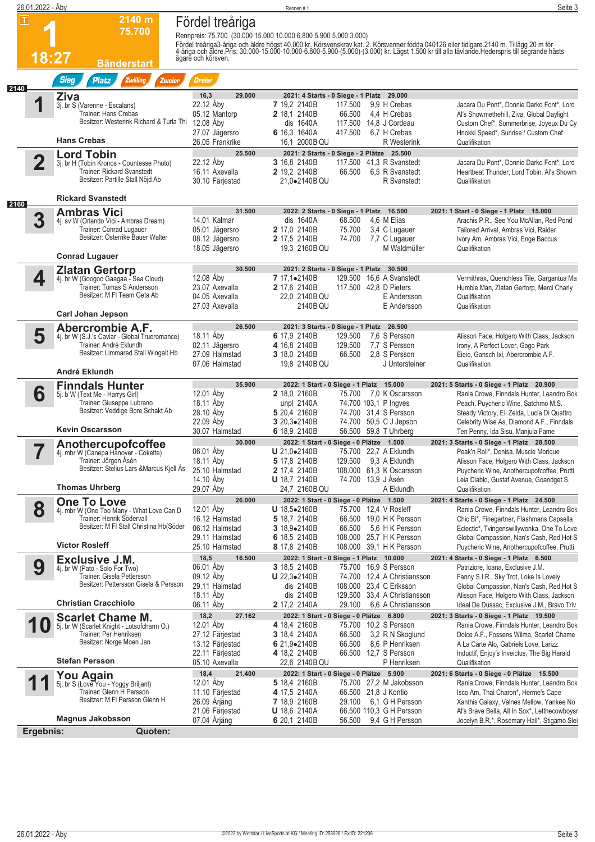| 26.01.2022 - Åby         |                                                                                                                                                         |                                                                                                        | Rennen#1                                                                                                                                                                                                          | Seite 3                                                                                                                                                                                                                                                                                                                                                              |
|--------------------------|---------------------------------------------------------------------------------------------------------------------------------------------------------|--------------------------------------------------------------------------------------------------------|-------------------------------------------------------------------------------------------------------------------------------------------------------------------------------------------------------------------|----------------------------------------------------------------------------------------------------------------------------------------------------------------------------------------------------------------------------------------------------------------------------------------------------------------------------------------------------------------------|
| $ \mathbf{T} $           | 2140 m<br>75.700<br>18:27<br><b>Bänderstart</b>                                                                                                         | Fördel treåriga<br>ägare och körsven.                                                                  | Rennpreis: 75.700 (30.000 15.000 10.000 6.800 5.900 5.000 3.000)                                                                                                                                                  | Fördel treåriga3-åriga och äldre högst 40.000 kr. Körsvenskrav kat. 2. Körsvenner födda 040126 eller tidigare.2140 m. Tillägg 20 m för<br>4-åriga och äldre.Pris: 30.000-15.000-10.000-6.800-5.900-(5.000)-(3.000) kr. Lägst 1.50                                                                                                                                    |
|                          | <b>Sieg</b><br><b>Platz</b><br>Zwilling<br>Zweier                                                                                                       | <b>Dreier</b>                                                                                          |                                                                                                                                                                                                                   |                                                                                                                                                                                                                                                                                                                                                                      |
| 2140                     | Ziva<br>3j. br S (Varenne - Escalans)<br>Trainer: Hans Crebas<br>Besitzer: Westerink Richard & Turla Thi<br><b>Hans Crebas</b>                          | 29.000<br>16,3<br>22.12 Åby<br>05.12 Mantorp<br>12.08 Åby<br>27.07 Jägersro                            | 2021: 4 Starts - 0 Siege - 1 Platz 29.000<br>7 19.2 2140B<br>117.500<br>2 18,1 2140B<br>66.500 4,4 H Crebas<br>117.500 14,8 J Cordeau<br>dis 1640A<br>6 16,3 1640A<br>417.500                                     | 9,9 H Crebas<br>Jacara Du Pont*, Donnie Darko Font*, Lord<br>Al's Showmethehill, Ziva, Global Daylight<br>Custom Chef*, Sommerbrise, Joyeux Du Cy<br>6.7 H Crebas<br>Hnokki Speed*, Sunrise / Custom Chef                                                                                                                                                            |
|                          |                                                                                                                                                         | 26.05 Frankrike<br>25.500                                                                              | 16,1 2000B QU                                                                                                                                                                                                     | R Westerink<br>Qualifikation                                                                                                                                                                                                                                                                                                                                         |
| $\overline{\mathbf{2}}$  | <b>Lord Tobin</b><br>3j. br H (Tobin Kronos - Countesse Photo)<br>Trainer: Rickard Svanstedt<br>Besitzer: Partille Stall Nöjd Ab                        | 22.12 Åby<br>16.11 Axevalla<br>30.10 Färjestad                                                         | 2021: 2 Starts - 0 Siege - 2 Plätze 25.500<br>3 16,8 2140B<br>2 19,2 2140B<br>21,0.2140B QU                                                                                                                       | 117.500 41,3 R Svanstedt<br>Jacara Du Pont*, Donnie Darko Font*, Lord<br>66.500 6.5 R Svanstedt<br>Heartbeat Thunder, Lord Tobin, Al's Showm<br>R Svanstedt<br>Qualifikation                                                                                                                                                                                         |
| 2160                     | <b>Rickard Svanstedt</b>                                                                                                                                |                                                                                                        |                                                                                                                                                                                                                   |                                                                                                                                                                                                                                                                                                                                                                      |
| 3                        | Ambras Vici<br>4j. sv W (Orlando Vici - Ambras Dream)<br>Trainer: Conrad Lugauer<br>Besitzer: Osterrike Bauer Walter<br><b>Conrad Lugauer</b>           | 31.500<br>14.01 Kalmar<br>05.01 Jägersro<br>08.12 Jägersro<br>18.05 Jägersro                           | 2022: 2 Starts - 0 Siege - 1 Platz 16.500<br>dis 1640A<br>68.500<br>2 17,0 2140B<br>75.700<br>2 17,5 2140B<br>74.700<br>19,3 2160B QU                                                                             | 2021: 1 Start - 0 Siege - 1 Platz 15.000<br>4.6 M Elias<br>Arachis P.R., See You McAllan, Red Pond<br>3,4 C Lugauer<br>Tailored Arrival, Ambras Vici, Raider<br>7,7 C Lugauer<br>Ivory Am, Ambras Vici, Enge Baccus<br>M Waldmüller<br>Qualifikation                                                                                                                 |
|                          |                                                                                                                                                         | 30.500                                                                                                 |                                                                                                                                                                                                                   |                                                                                                                                                                                                                                                                                                                                                                      |
| 4                        | <b>Zlatan Gertorp</b><br>4j. br W (Googoo Gaagaa - Sea Cloud)<br>Trainer: Tomas S Andersson<br>Besitzer: M FI Team Geta Ab                              | 12.08 Åby<br>23.07 Axevalla<br>04.05 Axevalla<br>27.03 Axevalla                                        | 2021: 2 Starts - 0 Siege - 1 Platz 30.500<br>7 17,1•2140B<br>2 17,6 2140B<br>117,500 42.8 D Pieters<br>22,0 2140B QU<br>2140B QU                                                                                  | 129.500 16,6 A Svanstedt<br>Vermithrax, Quenchless Tile, Gargantua Ma<br>Humble Man, Zlatan Gertorp, Merci Charly<br>E Andersson<br>Qualifikation<br>E Andersson<br>Qualifikation                                                                                                                                                                                    |
|                          | <b>Carl Johan Jepson</b>                                                                                                                                |                                                                                                        |                                                                                                                                                                                                                   |                                                                                                                                                                                                                                                                                                                                                                      |
| 5                        | Abercrombie A.F.<br>4j. br W (S.J.'s Caviar - Global Trueromance)<br>Trainer: André Eklundh<br>Besitzer: Limmared Stall Wingait Hb<br>André Eklundh     | 26.500<br>18.11 Åby<br>02.11 Jägersro<br>27.09 Halmstad<br>07.06 Halmstad                              | 2021: 3 Starts - 0 Siege - 1 Platz 26.500<br>6 17,9 2140B<br>129.500<br>4 16,8 2140B<br>129.500<br>3 18,0 2140B<br>66.500<br>19,8 2140B QU                                                                        | 7.6 S Persson<br>Alisson Face, Holgero With Class, Jackson<br>7.7 S Persson<br>Irony, A Perfect Lover, Gogo Park<br>2.8 S Persson<br>Eieio, Gansch Ixi, Abercrombie A.F.<br>Qualifikation<br>J Untersteiner                                                                                                                                                          |
| 6                        | <b>Finndals Hunter</b><br>5j. b W (Text Me - Harrys Girl)<br>Trainer: Giuseppe Lubrano<br>Besitzer: Veddige Bore Schakt Ab<br><b>Kevin Oscarsson</b>    | 35.900<br>12.01 Åby<br>18.11 Åby<br>28.10 Åby<br>22.09 Åby<br>30.07 Halmstad                           | 2022: 1 Start - 0 Siege - 1 Platz 15.000<br>2 18,0 2160B<br>unpl 2140A<br>74.700 103,1 P Ingves<br>5 20,4 2160B<br>3 20.3.2140B<br>6 18,9 2140B                                                                   | 2021: 5 Starts - 0 Siege - 1 Platz 20.900<br>75.700 7.0 K Oscarsson<br>Rania Crowe, Finndals Hunter, Leandro Bok<br>Peach, Puycheric Wine, Satchmo M.S.<br>74.700 31,4 S Persson<br>Steady Victory, Eli Zelda, Lucia Di Quattro<br>74.700 50,5 C J Jepson<br>Celebrity Wise As, Diamond A.F., Finndals<br>56.500 59,8 T Uhrberg<br>Ten Penny, Ida Sisu, Manjula Fame |
| $\overline{\phantom{a}}$ | Anothercupofcoffee<br>4j. mbr W (Canepa Hanover - Cokette)<br>Trainer: Jörgen Åsén<br>Besitzer: Stelius Lars & Marcus Kjell Ås<br><b>Thomas Uhrberg</b> | 30.000<br>06.01 Åby<br>18.11 Aby<br>25.10 Halmstad<br>14.10 Åby<br>29.07 Aby                           | 2022: 1 Start - 0 Siege - 0 Plätze 1.500<br><b>U</b> 21,0•2140B<br>75.700 22,7 A Eklundh<br>129.500 9,3 A Eklundh<br>5 17,8 2140B<br>2 17,4 2140B<br><b>U</b> 18,7 2140B<br>74.700 13,9 J Ásén<br>24,7   2160B QU | 2021: 3 Starts - 0 Siege - 1 Platz 28.500<br>Peak'n Roll*, Denisa, Muscle Morique<br>Alisson Face, Holgero With Class, Jackson<br>108.000 61,3 K Oscarsson<br>Puycheric Wine, Anothercupofcoffee, Prutti<br>Leia Diablo, Gustaf Avenue, Goandget S.<br>A Eklundh                                                                                                     |
|                          | <b>One To Love</b>                                                                                                                                      | 26.000                                                                                                 | 2022: 1 Start - 0 Siege - 0 Plätze 1.500                                                                                                                                                                          | Qualifikation<br>2021: 4 Starts - 0 Siege - 1 Platz 24.500                                                                                                                                                                                                                                                                                                           |
| 8                        | 4j. mbr W (One Too Many - What Love Can D<br>Trainer: Henrik Södervall<br>Besitzer: M FI Stall Christina Hb(Söder<br><b>Victor Rosleff</b>              | 12.01 Aby<br>16.12 Halmstad<br>06.12 Halmstad<br>29.11 Halmstad                                        | U 18,5•2160B<br>75.700 12,4 V Rosleff<br>5 18,7 2140B<br>3 $18,9 \bullet 2140B$<br>66.500<br>6 18,5 2140B                                                                                                         | Rania Crowe, Finndals Hunter, Leandro Bok<br>66.500 19,0 H K Persson<br>Chic Bi*, Finegartner, Flashmans Capsella<br>5.6 H K Persson<br>Eclectic*, Tvingenswillywonka, One To Love<br>108.000 25,7 H K Persson<br>Global Compassion, Nan's Cash, Red Hot S                                                                                                           |
|                          | <b>Exclusive J.M.</b>                                                                                                                                   | 25.10 Halmstad<br>18,5<br>16.500                                                                       | 8 17,8 2140B<br>2022: 1 Start - 0 Siege - 1 Platz 10.000                                                                                                                                                          | 108.000 39.1 H K Persson<br>Puycheric Wine, Anothercupofcoffee, Prutti<br>2021: 4 Starts - 0 Siege - 1 Platz 6.500                                                                                                                                                                                                                                                   |
| 9                        | 4j. br W (Pato - Solo For Two)<br>Trainer: Gisela Pettersson<br>Besitzer: Pettersson Gisela & Persson                                                   | 06.01 Åby<br>09.12 Åby<br>29.11 Halmstad<br>18.11 Aby                                                  | 3 18,5 2140B<br><b>U</b> 22,3 $\bullet$ 2140B<br>dis 2140B<br>108.000 23,4 C Eriksson<br>dis 2140B                                                                                                                | 75.700 16,9 S Persson<br>Patriziore, Ioana, Exclusive J.M.<br>74.700 12,4 A Christiansson<br>Fanny S.I.R., Sky Trot, Loke Is Lovely<br>Global Compassion, Nan's Cash, Red Hot S<br>129.500 33,4 A Christiansson<br>Alisson Face, Holgero With Class, Jackson                                                                                                         |
|                          | <b>Christian Cracchiolo</b>                                                                                                                             | 06.11 Aby                                                                                              | 2 17,2 2140A<br>29.100                                                                                                                                                                                            | 6,6 A Christiansson<br>Ideal De Dussac, Exclusive J.M., Bravo Triv                                                                                                                                                                                                                                                                                                   |
| 10                       | <b>Scarlet Chame M.</b><br>5j. br W (Scarlet Knight - Lotsofcharm O.)<br>Trainer: Per Henriksen<br>Besitzer: Norge Moen Jan<br><b>Stefan Persson</b>    | 18,2<br>27.162<br>12.01 Aby<br>27.12 Färjestad<br>13.12 Färjestad<br>22.11 Färjestad<br>05.10 Axevalla | 2022: 1 Start - 0 Siege - 0 Plätze 6.800<br>4 18,4 2160B<br>66.500<br><b>3</b> 18,4 2140A<br>6 21,9 $\bullet$ 2140B<br>66.500<br>4 18,2 2140B<br>22,6   2140B QU                                                  | 2021: 3 Starts - 0 Siege - 1 Platz 19.500<br>75.700 10,2 S Persson<br>Rania Crowe, Finndals Hunter, Leandro Bok<br>3,2 R N Skoglund<br>Dolce A.F., Fossens Wilma, Scarlet Chame<br>8,6 P Henriksen<br>A La Carte Alo, Gabriels Love, Larizz<br>66.500 12,7 S Persson<br>Inductif, Enjoy's Inveictus, The Big Harald<br>P Henriksen<br>Qualifikation                  |
|                          | You Again                                                                                                                                               | 18,4<br>21.400                                                                                         | 2022: 1 Start - 0 Siege - 0 Plätze 5.900                                                                                                                                                                          | 2021: 6 Starts - 0 Siege - 0 Plätze 15.500                                                                                                                                                                                                                                                                                                                           |
|                          | 5j. br S (Love You - Yoggy Briljant)<br>Trainer: Glenn H Persson<br>Besitzer: M FI Persson Glenn H<br><b>Magnus Jakobsson</b>                           | 12.01 Aby<br>11.10 Färjestad<br>26.09 Årjäng<br>21.06 Färjestad<br>07.04 Arjäng                        | 5 18,4 2160B<br>4 17,5 2140A<br>66.500 21,8 J Kontio<br><b>7</b> 18,9 2160B<br><b>U</b> 18,6 2140A<br>6 20,1 2140B<br>56.500                                                                                      | 75.700 27,2 M Jakobsson<br>Rania Crowe, Finndals Hunter, Leandro Bok<br>Isco Am, Thai Charon*, Herme's Cape<br>29.100 6,1 G H Persson<br>Xanthis Galaxy, Valnes Mellow, Yankee No<br>66.500 110,3 G H Persson<br>Al's Brave Bella, All In Sox*, Letthecowboysr<br>9,4 G H Persson<br>Jocelyn B.R.*, Rosemary Hall*, Stigamo Slei                                     |
| Ergebnis:                | Quoten:                                                                                                                                                 |                                                                                                        |                                                                                                                                                                                                                   |                                                                                                                                                                                                                                                                                                                                                                      |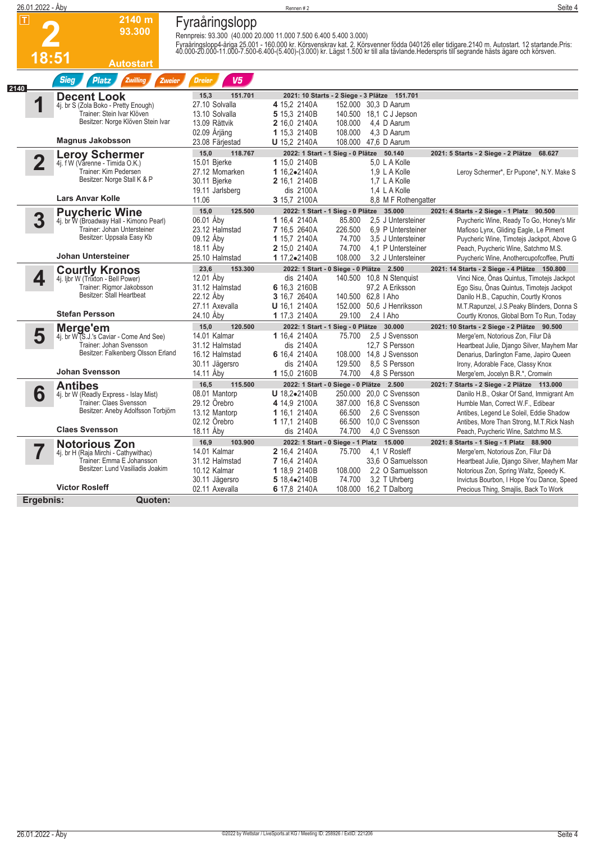| 26.01.2022 - Åby        |                                                                |                                                                                    | Rennen#2                     |                                                        | Seite 4                                                                                                                                                                                                                           |
|-------------------------|----------------------------------------------------------------|------------------------------------------------------------------------------------|------------------------------|--------------------------------------------------------|-----------------------------------------------------------------------------------------------------------------------------------------------------------------------------------------------------------------------------------|
| $\mathsf \Pi$           | 2140 m<br>93.300<br>18:51<br>Autostart                         | Fyraåringslopp<br>Rennpreis: 93.300 (40.000 20.000 11.000 7.500 6.400 5.400 3.000) |                              |                                                        | Fyraåringslopp4-åriga 25.001 - 160.000 kr. Körsvenskrav kat. 2. Körsvenner födda 040126 eller tidigare.2140 m. Autostart. 12 startande.Pris:<br>40.000-20.000-11.000-7.500-6.400-(5.400)-(3.000) kr. Lägst 1.500 kr till alla täv |
|                         | <b>Sieg</b><br><b>Platz</b><br><b>Zwilling</b><br>Zweier       | V <sub>5</sub><br><b>Dreier</b>                                                    |                              |                                                        |                                                                                                                                                                                                                                   |
| 2140                    | <b>Decent Look</b>                                             | 151.701<br>15,3                                                                    |                              | 2021: 10 Starts - 2 Siege - 3 Plätze 151.701           |                                                                                                                                                                                                                                   |
| 1                       | 4j. br S (Zola Boko - Pretty Enough)                           | 27.10 Solvalla                                                                     | 4 15,2 2140A                 | 152.000 30,3 D Aarum                                   |                                                                                                                                                                                                                                   |
|                         | Trainer: Stein Ivar Klöven                                     | 13.10 Solvalla                                                                     | 5 15.3 2140B                 | 140.500<br>18,1 C J Jepson                             |                                                                                                                                                                                                                                   |
|                         | Besitzer: Norge Klöven Stein Ivar                              | 13.09 Rättvik                                                                      | 2 16,0 2140A                 | 108.000<br>4,4 D Aarum                                 |                                                                                                                                                                                                                                   |
|                         |                                                                | 02.09 Årjäng                                                                       | 1 15,3 2140B                 | 108.000<br>4.3 D Aarum                                 |                                                                                                                                                                                                                                   |
|                         | <b>Magnus Jakobsson</b>                                        | 23.08 Färjestad                                                                    | <b>U</b> 15,2 2140A          | 108.000 47,6 D Aarum                                   |                                                                                                                                                                                                                                   |
|                         | Leroy Schermer<br>4j. f W (Varenne - Timida O.K.)              | 15,0<br>118.767                                                                    |                              | 50.140<br>2022: 1 Start - 1 Sieg - 0 Plätze            | 2021: 5 Starts - 2 Siege - 2 Plätze<br>68.627                                                                                                                                                                                     |
| $\overline{\mathbf{2}}$ |                                                                | 15.01 Bjerke                                                                       | 1 15,0 2140B                 | 5,0 L A Kolle                                          |                                                                                                                                                                                                                                   |
|                         | Trainer: Kim Pedersen                                          | 27.12 Momarken                                                                     | 1 16,2.2140A                 | 1,9 L A Kolle                                          | Leroy Schermer*, Er Pupone*, N.Y. Make S                                                                                                                                                                                          |
|                         | Besitzer: Norge Stall K & P                                    | 30.11 Bjerke                                                                       | 2 16,1 2140B                 | 1,7 L A Kolle                                          |                                                                                                                                                                                                                                   |
|                         | <b>Lars Anvar Kolle</b>                                        | 19.11 Jarlsberg                                                                    | dis 2100A                    | 1.4 L A Kolle                                          |                                                                                                                                                                                                                                   |
|                         |                                                                | 11.06                                                                              | 3 15,7 2100A                 | 8.8 M F Rothengatter                                   |                                                                                                                                                                                                                                   |
|                         | <b>Puycheric Wine</b>                                          | 15,0<br>125.500                                                                    |                              | 2022: 1 Start - 1 Sieg - 0 Plätze 35.000               | 2021: 4 Starts - 2 Siege - 1 Platz 90.500                                                                                                                                                                                         |
| 3                       | 4j. br W (Broadway Hall - Kimono Pearl)                        | 06.01 Aby                                                                          | 1 16,4 2140A                 | 85.800<br>2.5 J Untersteiner                           | Puycheric Wine, Ready To Go, Honey's Mir                                                                                                                                                                                          |
|                         | Trainer: Johan Untersteiner<br>Besitzer: Uppsala Easy Kb       | 23.12 Halmstad<br>09.12 Aby                                                        | 7 16.5 2640A<br>1 15,7 2140A | 226.500<br>6.9 P Untersteiner<br>74.700                | Mafioso Lynx, Gliding Eagle, Le Piment                                                                                                                                                                                            |
|                         |                                                                | 18.11 Aby                                                                          | 2 15,0 2140A                 | 3.5 J Untersteiner<br>74.700<br>4.1 P Untersteiner     | Puycheric Wine, Timotejs Jackpot, Above G<br>Peach, Puycheric Wine, Satchmo M.S.                                                                                                                                                  |
|                         | Johan Untersteiner                                             | 25.10 Halmstad                                                                     | 1 17,2•2140B                 | 108.000<br>3.2 J Untersteiner                          | Puycheric Wine, Anothercupofcoffee, Prutti                                                                                                                                                                                        |
|                         |                                                                | 23,6<br>153.300                                                                    |                              | 2022: 1 Start - 0 Siege - 0 Plätze 2.500               |                                                                                                                                                                                                                                   |
| 4                       | <b>Courtly Kronos</b>                                          | 12.01 Aby                                                                          | dis 2140A                    | 140.500 10.8 N Stenguist                               | 2021: 14 Starts - 2 Siege - 4 Plätze 150.800<br>Vinci Nice, Onas Quintus, Timotejs Jackpot                                                                                                                                        |
|                         | 4j. ljbr W (Trixton - Bell Power)<br>Trainer: Rigmor Jakobsson | 31.12 Halmstad                                                                     | 6 16,3 2160B                 | 97,2 A Eriksson                                        | Ego Sisu, Onas Quintus, Timotejs Jackpot                                                                                                                                                                                          |
|                         | Besitzer: Stall Heartbeat                                      | 22.12 Aby                                                                          | 3 16,7 2640A                 | 140.500 62,8   Aho                                     | Danilo H.B., Capuchin, Courtly Kronos                                                                                                                                                                                             |
|                         |                                                                | 27.11 Axevalla                                                                     | <b>U</b> 16,1 2140A          | 152.000 50,6 J Henriksson                              | M.T.Rapunzel, J.S.Peaky Blinders, Donna S                                                                                                                                                                                         |
|                         | <b>Stefan Persson</b>                                          | 24.10 Aby                                                                          | 1 17,3 2140A                 | 29.100<br>$2.4$   Aho                                  | Courtly Kronos, Global Born To Run, Today                                                                                                                                                                                         |
|                         | Merge'em                                                       | 15,0<br>120.500                                                                    |                              | 2022: 1 Start - 1 Sieg - 0 Plätze 30.000               | 2021: 10 Starts - 2 Siege - 2 Plätze 90.500                                                                                                                                                                                       |
| 5                       | 4j. br W (S.J.'s Caviar - Come And See)                        | 14.01 Kalmar                                                                       | 1 16.4 2140A                 | 75.700<br>2.5 J Svensson                               | Merge'em, Notorious Zon, Filur Då                                                                                                                                                                                                 |
|                         | Trainer: Johan Svensson                                        | 31.12 Halmstad                                                                     | dis 2140A                    | 12,7 S Persson                                         | Heartbeat Julie, Django Silver, Mayhem Mar                                                                                                                                                                                        |
|                         | Besitzer: Falkenberg Olsson Erland                             | 16.12 Halmstad                                                                     | 6 16,4 2140A                 | 108.000 14,8 J Svensson                                | Denarius, Darlington Fame, Japiro Queen                                                                                                                                                                                           |
|                         |                                                                | 30.11 Jägersro                                                                     | dis 2140A                    | 129.500<br>8.5 S Persson                               | Irony, Adorable Face, Classy Knox                                                                                                                                                                                                 |
|                         | <b>Johan Svensson</b>                                          | 14.11 Aby                                                                          | 1 15,0 2160B                 | 74.700<br>4,8 S Persson                                | Merge'em, Jocelyn B.R.*, Cromwin                                                                                                                                                                                                  |
|                         | <b>Antibes</b>                                                 | 16,5<br>115.500                                                                    |                              | 2022: 1 Start - 0 Siege - 0 Plätze 2.500               | 2021: 7 Starts - 2 Siege - 2 Plätze 113.000                                                                                                                                                                                       |
| 6                       | 4j. br W (Readly Express - Islay Mist)                         | 08.01 Mantorp                                                                      | U 18,2.2140B                 | 250.000 20,0 C Svensson                                | Danilo H.B., Oskar Of Sand, Immigrant Am                                                                                                                                                                                          |
|                         | Trainer: Claes Svensson                                        | 29.12 Orebro                                                                       | 4 14,9 2100A                 | 387.000<br>16,8 C Svensson                             | Humble Man, Correct W.F., Edibear                                                                                                                                                                                                 |
|                         | Besitzer: Aneby Adolfsson Torbjörn                             | 13.12 Mantorp                                                                      | <b>1</b> 16,1 2140A          | 66.500<br>2,6 C Svensson                               | Antibes, Legend Le Soleil, Eddie Shadow                                                                                                                                                                                           |
|                         | <b>Claes Svensson</b>                                          | 02.12 Orebro                                                                       | 1 17,1 2140B                 | 66.500<br>10.0 C Svensson                              | Antibes, More Than Strong, M.T.Rick Nash                                                                                                                                                                                          |
|                         |                                                                | 18.11 Aby                                                                          | dis 2140A                    | 74.700<br>4,0 C Svensson                               | Peach, Puycheric Wine, Satchmo M.S.                                                                                                                                                                                               |
|                         | <b>Notorious Zon</b>                                           | 16.9<br>103.900                                                                    |                              | 2022: 1 Start - 0 Siege - 1 Platz 15.000               | 2021: 8 Starts - 1 Sieg - 1 Platz 88.900                                                                                                                                                                                          |
|                         | 4j. br H (Raja Mirchi - Cathywithac)                           | 14.01 Kalmar                                                                       | 2 16.4 2140A                 | 75.700<br>4.1 V Rosleff                                | Merge'em, Notorious Zon, Filur Då                                                                                                                                                                                                 |
|                         | Trainer: Emma E Johansson<br>Besitzer: Lund Vasiliadis Joakim  | 31.12 Halmstad                                                                     | 7 16,4 2140A                 | 33.6 O Samuelsson                                      | Heartbeat Julie, Django Silver, Mayhem Mar                                                                                                                                                                                        |
|                         |                                                                | 10.12 Kalmar                                                                       | 1 18,9 2140B<br>5 18,4•2140B | 108.000<br>2.2 O Samuelsson<br>74.700<br>3,2 T Uhrberg | Notorious Zon, Spring Waltz, Speedy K.                                                                                                                                                                                            |
|                         | <b>Victor Rosleff</b>                                          | 30.11 Jägersro<br>02.11 Axevalla                                                   | 6 17,8 2140A                 | 108.000 16,2 T Dalborg                                 | Invictus Bourbon, I Hope You Dance, Speed<br>Precious Thing, Smajlis, Back To Work                                                                                                                                                |
|                         |                                                                |                                                                                    |                              |                                                        |                                                                                                                                                                                                                                   |
| Ergebnis:               | Quoten:                                                        |                                                                                    |                              |                                                        |                                                                                                                                                                                                                                   |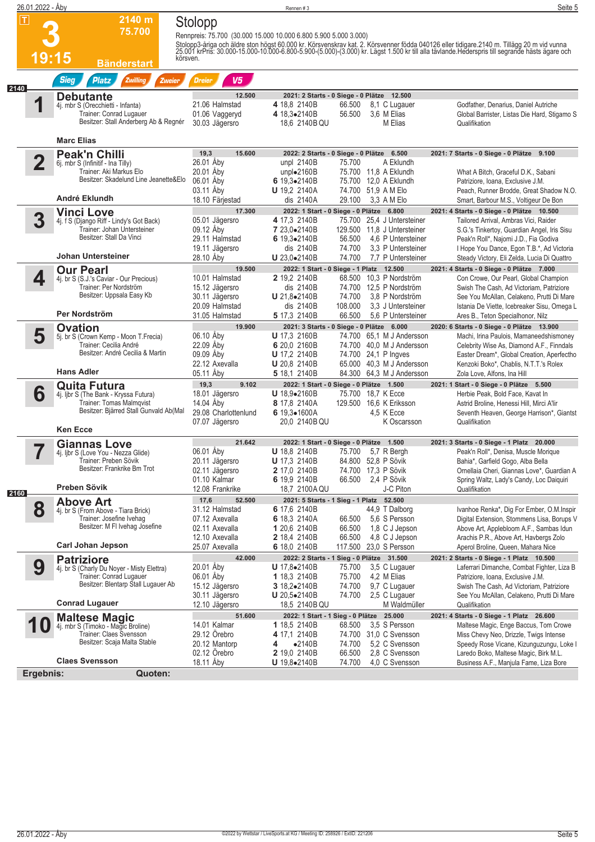|      | 26.01.2022 - Åby                  |                                                                                                                                                              |                                                                                                  | Rennen#3                                                                                                                                                                                                                                                                                              | Seite 5                                                                                                                                                                                                                                                                 |
|------|-----------------------------------|--------------------------------------------------------------------------------------------------------------------------------------------------------------|--------------------------------------------------------------------------------------------------|-------------------------------------------------------------------------------------------------------------------------------------------------------------------------------------------------------------------------------------------------------------------------------------------------------|-------------------------------------------------------------------------------------------------------------------------------------------------------------------------------------------------------------------------------------------------------------------------|
|      | $\vert \mathsf{T} \vert$<br>19:15 | 2140 m<br>75.700<br>körsven.<br><b>Bänderstart</b>                                                                                                           | Stolopp                                                                                          | Rennpreis: 75.700 (30.000 15.000 10.000 6.800 5.900 5.000 3.000)<br>Stolopp3-åriga och äldre ston högst 60.000 kr. Körsvenskrav kat. 2. Körsvenner födda 040126 eller tidigare 2140 m. Tillägg 20 m vid vunna<br>25.001 krPris: 30.000-15.000-10.000-6.800-5.900-(5.000)-(3.000) kr. Lägst 1.500 kr t |                                                                                                                                                                                                                                                                         |
| 2140 |                                   | <b>Sieg</b><br><b>Platz</b><br><b>Zwilling</b><br>Zweier                                                                                                     | V5<br><b>Dreier</b>                                                                              |                                                                                                                                                                                                                                                                                                       |                                                                                                                                                                                                                                                                         |
|      |                                   | <b>Debutante</b><br>4j. mbr S (Orecchietti - Infanta)<br>Trainer: Conrad Lugauer<br>Besitzer: Stall Anderberg Ab & Regnér                                    | 12.500<br>21.06 Halmstad<br>01.06 Vaggeryd<br>30.03 Jägersro                                     | 2021: 2 Starts - 0 Siege - 0 Plätze 12.500<br>4 18.8 2140B<br>66.500<br>8,1 C Lugauer<br>3,6 M Elias<br>4 18,3.2140B<br>56.500<br>18,6 2140B QU<br>M Elias                                                                                                                                            | Godfather, Denarius, Daniel Autriche<br>Global Barrister, Listas Die Hard, Stigamo S<br>Qualifikation                                                                                                                                                                   |
|      |                                   | <b>Marc Elias</b>                                                                                                                                            |                                                                                                  |                                                                                                                                                                                                                                                                                                       |                                                                                                                                                                                                                                                                         |
|      | $\overline{\mathbf{2}}$           | <b>Peak'n Chilli</b><br>6j. mbr S (Infinitif - Ina Tilly)<br>Trainer: Aki Markus Elo<br>Besitzer: Skadelund Line Jeanette&Elo<br>André Eklundh               | 19,3<br>15.600<br>26.01 Åby<br>20.01 Åby<br>06.01 Åby<br>03.11 Aby<br>18.10 Färiestad            | 2022: 2 Starts - 0 Siege - 0 Plätze 6.500<br>unpl 2140B<br>75.700<br>A Eklundh<br>unpl $\bullet$ 2160B<br>75.700 11,8 A Eklundh<br>6 19,3.2140B<br>75.700 12,0 A Eklundh<br>74.700 51,9 A M Elo<br><b>U</b> 19,2 2140A<br>29.100<br>3,3 A M Elo<br>dis 2140A                                          | 2021: 7 Starts - 0 Siege - 0 Plätze 9.100<br>What A Bitch, Graceful D.K., Sabani<br>Patriziore, Ioana, Exclusive J.M.<br>Peach, Runner Brodde, Great Shadow N.O.<br>Smart, Barbour M.S., Voltigeur De Bon                                                               |
|      | 3                                 | <b>Vinci Love</b><br>4j. f S (Django Riff - Lindy's Got Back)<br>Trainer: Johan Untersteiner<br>Besitzer: Stall Da Vinci<br><b>Johan Untersteiner</b>        | 17.300<br>05.01 Jägersro<br>09.12 Åby<br>29.11 Halmstad<br>19.11 Jägersro<br>28.10 Aby           | 2022: 1 Start - 0 Siege - 0 Plätze 6.800<br>4 17.3 2140B<br>75.700 25,4 J Untersteiner<br>7 23,0.2140B<br>129.500 11.8 J Untersteiner<br>6 19,3.2140B<br>56.500<br>4,6 P Untersteiner<br>dis 2140B<br>74.700<br>3.3 P Untersteiner<br>74.700<br>7.7 P Untersteiner<br>U 23,0.2140B                    | 2021: 4 Starts - 0 Siege - 0 Plätze 10.500<br>Tailored Arrival, Ambras Vici, Raider<br>S.G.'s Tinkertoy, Guardian Angel, Iris Sisu<br>Peak'n Roll*, Najomi J.D., Fia Godiva<br>I Hope You Dance, Egon T.B.*, Ad Victoria<br>Steady Victory, Eli Zelda, Lucia Di Quattro |
|      | 4                                 | <b>Our Pearl</b><br>4j. br S (S.J.'s Caviar - Our Precious)<br>Trainer: Per Nordström<br>Besitzer: Uppsala Easy Kb<br>Per Nordström                          | 19.500<br>10.01 Halmstad<br>15.12 Jägersro<br>30.11 Jägersro<br>20.09 Halmstad<br>31.05 Halmstad | 2022: 1 Start - 0 Siege - 1 Platz 12.500<br>2 19.2 2140B<br>68.500 10,3 P Nordström<br>dis 2140B<br>74.700 12,5 P Nordström<br>$U 21.8 \bullet 2140B$<br>74.700<br>3.8 P Nordström<br>108.000<br>3.3 J Untersteiner<br>dis 2140B<br>66.500<br>5 17,3 2140B<br>5.6 P Untersteiner                      | 2021: 4 Starts - 0 Siege - 0 Plätze 7.000<br>Con Crowe, Our Pearl, Global Champion<br>Swish The Cash, Ad Victoriam, Patriziore<br>See You McAllan, Celakeno, Prutti Di Mare<br>Istania De Viette, Icebreaker Sisu, Omega L<br>Ares B., Teton Specialhonor, Nilz         |
|      | 5                                 | <b>Ovation</b><br>5j. br S (Crown Kemp - Moon T.Frecia)<br>Trainer: Cecilia André<br>Besitzer: André Cecilia & Martin<br><b>Hans Adler</b>                   | 19.900<br>06.10 Aby<br>22.09 Åby<br>09.09 Åby<br>22.12 Axevalla<br>05.11 Aby                     | 2021: 3 Starts - 0 Siege - 0 Plätze 6.000<br><b>U</b> 17,3 2160B<br>74.700 65.1 M J Andersson<br>6 20,0 2160B<br>74.700 40,0 M J Andersson<br><b>U</b> 17,2 2140B<br>74.700 24,1 P Ingves<br>65.000 40,3 M J Andersson<br><b>U</b> 20,8 2140B<br>5 18,1 2140B<br>84.300 64,3 M J Andersson            | 2020: 6 Starts - 0 Siege - 0 Plätze 13.900<br>Machi, Irina Paulois, Mamaneedshismoney<br>Celebrity Wise As, Diamond A.F., Finndals<br>Easter Dream*, Global Creation, Aperfectho<br>Kenzoki Boko*, Chablis, N.T.T.'s Rolex<br>Zola Love, Alfons, Ina Hill               |
|      | 6                                 | <b>Quita Futura</b><br>4j. Ijbr S (The Bank - Kryssa Futura)<br><b>Trainer: Tomas Malmqvist</b><br>Besitzer: Bjärred Stall Gunvald Ab(Mal<br><b>Ken Ecce</b> | 9.102<br>19,3<br>18.01 Jägersro<br>14.04 Åby<br>29.08 Charlottenlund<br>07.07 Jägersro           | 2022: 1 Start - 0 Siege - 0 Plätze 1.500<br>U 18.9•2160B<br>75.700 18.7 K Ecce<br>8 17,8 2140A<br>129.500 16,6 K Eriksson<br>6 19,3•1600A<br>4.5 K Ecce<br>K Oscarsson<br>20,0 2140B QU                                                                                                               | 2021: 1 Start - 0 Siege - 0 Plätze 5.500<br>Herbie Peak, Bold Face, Kavat In<br>Astrid Broline, Henessi Hill, Mirci A'lir<br>Seventh Heaven, George Harrison*, Giantst<br>Qualifikation                                                                                 |
|      |                                   | <b>Giannas Love</b>                                                                                                                                          | 21.642                                                                                           | 2022: 1 Start - 0 Siege - 0 Plätze 1.500                                                                                                                                                                                                                                                              | 2021: 3 Starts - 0 Siege - 1 Platz 20.000                                                                                                                                                                                                                               |
| 2160 |                                   | 4j. ljbr S (Love You - Nezza Glide)<br>Trainer: Preben Sövik<br>Besitzer: Frankrike Bm Trot<br>Preben Sövik                                                  | 06.01 Åby<br>20.11 Jägersro<br>02.11 Jägersro<br>01.10 Kalmar<br>12.08 Frankrike                 | <b>U</b> 18,8 2140B<br>75.700<br>5,7 R Bergh<br><b>U</b> 17,3 2140B<br>84.800 52,8 P Sövik<br>74.700 17,3 P Sövik<br><b>2</b> 17,0 2140B<br>6 19,9 2140B<br>66.500<br>2,4 P Sövik<br>18,7 2100A QU<br>J-C Piton                                                                                       | Peak'n Roll*, Denisa, Muscle Morique<br>Bahia*, Garfield Gogo, Alba Bella<br>Ornellaia Cheri, Giannas Love*, Guardian A<br>Spring Waltz, Lady's Candy, Loc Daiquiri<br>Qualifikation                                                                                    |
|      | 8                                 | <b>Above Art</b>                                                                                                                                             | 17,6<br>52.500<br>31.12 Halmstad                                                                 | 2021: 5 Starts - 1 Sieg - 1 Platz 52.500<br>6 17,6 2140B<br>44,9 T Dalborg                                                                                                                                                                                                                            |                                                                                                                                                                                                                                                                         |
|      |                                   | 4j. br S (From Above - Tiara Brick)<br>Trainer: Josefine Ivehag<br>Besitzer: M FI Ivehag Josefine<br><b>Carl Johan Jepson</b>                                | 07.12 Axevalla<br>02.11 Axevalla<br>12.10 Axevalla<br>25.07 Axevalla                             | 6 18,3 2140A<br>5,6 S Persson<br>66.500<br>66.500<br>1,8 C J Jepson<br>1 20,6 2140B<br>66.500<br>4,8 C J Jepson<br><b>2</b> 18,4 2140B<br>117.500<br>23,0 S Persson<br>6 18,0 2140B                                                                                                                   | Ivanhoe Renka*, Dig For Ember, O.M.Inspir<br>Digital Extension, Stommens Lisa, Borups V<br>Above Art, Applebloom A.F., Sambas Idun<br>Arachis P.R., Above Art, Havbergs Zolo<br>Aperol Broline, Queen, Mahara Nice                                                      |
|      | 9                                 | <b>Patriziore</b>                                                                                                                                            | 42.000<br>20.01 Aby                                                                              | 2022: 2 Starts - 1 Sieg - 0 Plätze 31.500<br>3,5 C Lugauer<br><b>U</b> $17.8 \cdot 2140B$<br>75.700                                                                                                                                                                                                   | 2021: 2 Starts - 0 Siege - 1 Platz 10.500<br>Laferrari Dimanche, Combat Fighter, Liza B                                                                                                                                                                                 |
|      |                                   | 4j. br S (Charly Du Noyer - Misty Elettra)<br>Trainer: Conrad Lugauer<br>Besitzer: Blentarp Stall Lugauer Ab<br><b>Conrad Lugauer</b>                        | 06.01 Aby<br>15.12 Jägersro<br>30.11 Jägersro<br>12.10 Jägersro                                  | 75.700<br>4,2 M Elias<br>1 18,3 2140B<br>74.700<br>9,7 C Lugauer<br>3 $18,2 \bullet 2140B$<br><b>U</b> 20,5 $\bullet$ 2140B<br>74.700<br>2,5 C Lugauer<br>18,5 2140B QU<br>M Waldmüller                                                                                                               | Patriziore, Ioana, Exclusive J.M.<br>Swish The Cash, Ad Victoriam, Patriziore<br>See You McAllan, Celakeno, Prutti Di Mare<br>Qualifikation                                                                                                                             |
|      |                                   | <b>Maltese Magic</b>                                                                                                                                         | 51.600<br>14.01 Kalmar                                                                           | 2022: 1 Start - 1 Sieg - 0 Plätze 25.000<br>3,5 S Persson<br>1 18,5 2140B<br>68.500                                                                                                                                                                                                                   | 2021: 4 Starts - 0 Siege - 1 Platz 26.600                                                                                                                                                                                                                               |
|      |                                   | 4j. mbr S (Timoko - Magic Broline)<br>Trainer: Claes Svensson<br>Besitzer: Scaja Malta Stable<br><b>Claes Svensson</b>                                       | 29.12 Örebro<br>20.12 Mantorp<br>02.12 Orebro<br>18.11 Åby                                       | 4 17,1 2140B<br>74.700 31,0 C Svensson<br>5.2 C Svensson<br>$\bullet$ 2140B<br>74.700<br>4<br>2 19,0 2140B<br>66.500<br>2,8 C Svensson<br>74.700<br>4,0 C Svensson<br><b>U</b> $19,8 \bullet 2140B$                                                                                                   | Maltese Magic, Enge Baccus, Tom Crowe<br>Miss Chevy Neo, Drizzle, Twigs Intense<br>Speedy Rose Vicane, Kizunguzungu, Loke I<br>Laredo Boko, Maltese Magic, Birk M.L.<br>Business A.F., Manjula Fame, Liza Bore                                                          |
|      | Ergebnis:                         | Quoten:                                                                                                                                                      |                                                                                                  |                                                                                                                                                                                                                                                                                                       |                                                                                                                                                                                                                                                                         |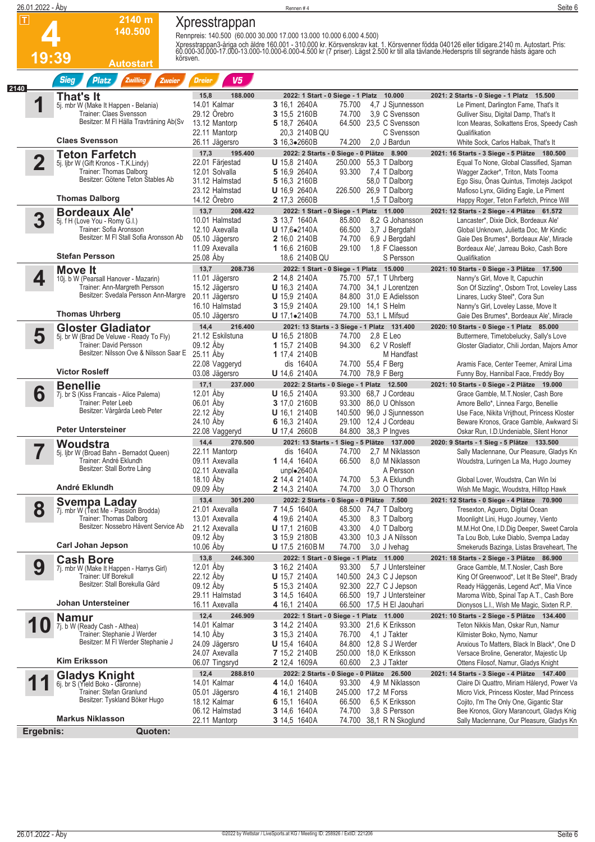|                         | 26.01.2022 - Åby                                                      |                                  | Rennen#4                                                            |                                         | Seite 6                                                                                                                                                                                                                           |
|-------------------------|-----------------------------------------------------------------------|----------------------------------|---------------------------------------------------------------------|-----------------------------------------|-----------------------------------------------------------------------------------------------------------------------------------------------------------------------------------------------------------------------------------|
| П                       | 2140 m                                                                | Xpresstrappan                    |                                                                     |                                         |                                                                                                                                                                                                                                   |
|                         | 140.500                                                               |                                  |                                                                     |                                         |                                                                                                                                                                                                                                   |
|                         |                                                                       |                                  | Rennpreis: 140.500 (60.000 30.000 17.000 13.000 10.000 6.000 4.500) |                                         |                                                                                                                                                                                                                                   |
|                         |                                                                       |                                  |                                                                     |                                         | Xpresstrappan3-åriga och äldre 160.001 - 310.000 kr. Körsvenskrav kat. 1. Körsvenner födda 040126 eller tidigare 2140 m. Autostart. Pris:<br>60.000-30.000-17.000-13.000-10.000-6.000-4.500 kr (7 priser). Lägst 2.500 kr till al |
|                         | 19:39<br>Autostart                                                    | körsven.                         |                                                                     |                                         |                                                                                                                                                                                                                                   |
|                         |                                                                       |                                  |                                                                     |                                         |                                                                                                                                                                                                                                   |
| 2140                    | <b>Sieg</b><br><b>Platz</b><br><b>Zwilling</b><br>Zweier              | V <sub>5</sub><br><b>Dreier</b>  |                                                                     |                                         |                                                                                                                                                                                                                                   |
|                         | That's It                                                             | 15,8<br>188.000                  | 2022: 1 Start - 0 Siege - 1 Platz 10.000                            |                                         | 2021: 2 Starts - 0 Siege - 1 Platz 15.500                                                                                                                                                                                         |
|                         | 5j. mbr W (Make It Happen - Belania)                                  | 14.01 Kalmar                     | <b>3</b> 16,1 2640A<br>75.700                                       | 4,7 J Sjunnesson                        | Le Piment, Darlington Fame, That's It                                                                                                                                                                                             |
|                         | Trainer: Claes Svensson                                               | 29.12 Örebro                     | 3 15.5 2160B<br>74.700                                              | 3,9 C Svensson                          | Gulliver Sisu, Digital Damp, That's It                                                                                                                                                                                            |
|                         | Besitzer: M FI Hälla Travträning Ab(Sv                                | 13.12 Mantorp                    | 5 18,7 2640A                                                        | 64.500 23,5 C Svensson                  | Icon Mearas, Solkattens Eros, Speedy Cash                                                                                                                                                                                         |
|                         | <b>Claes Svensson</b>                                                 | 22.11 Mantorp<br>26.11 Jägersro  | 20.3 2140B QU<br>3 16,3.2660B<br>74.200                             | C Svensson<br>2.0 J Bardun              | Qualifikation<br>White Sock, Carlos Halbak, That's It                                                                                                                                                                             |
|                         |                                                                       | 17,3<br>195.400                  | 2022: 2 Starts - 0 Siege - 0 Plätze 8.900                           |                                         | 2021: 16 Starts - 3 Siege - 5 Plätze 180.500                                                                                                                                                                                      |
| $\overline{\mathbf{2}}$ | <b>Teton Farfetch</b><br>5j. ljbr W (Gift Kronos - T.K.Lindy)         | 22.01 Färjestad                  | <b>U</b> 15,8 2140A                                                 | 250.000 55,3 T Dalborg                  | Equal To None, Global Classified, Sjaman                                                                                                                                                                                          |
|                         | Trainer: Thomas Dalborg                                               | 12.01 Solvalla                   | 5 16,9 2640A<br>93.300                                              | 7,4 T Dalborg                           | Wagger Zacker*, Triton, Mats Tooma                                                                                                                                                                                                |
|                         | Besitzer: Götene Teton Stables Ab                                     | 31.12 Halmstad                   | 5 16,3 2160B                                                        | 58,0 T Dalborg                          | Ego Sisu, Onas Quintus, Timotejs Jackpot                                                                                                                                                                                          |
|                         |                                                                       | 23.12 Halmstad                   | U 16,9 2640A<br>226.500                                             | 26,9 T Dalborg                          | Mafioso Lynx, Gliding Eagle, Le Piment                                                                                                                                                                                            |
|                         | <b>Thomas Dalborg</b>                                                 | 14.12 Örebro                     | 2 17,3 2660B                                                        | 1,5 T Dalborg                           | Happy Roger, Teton Farfetch, Prince Will                                                                                                                                                                                          |
|                         | <b>Bordeaux Ale'</b>                                                  | 13,7<br>208.422                  | 2022: 1 Start - 0 Siege - 1 Platz 11.000                            |                                         | 2021: 12 Starts - 2 Siege - 4 Plätze 61.572                                                                                                                                                                                       |
| 3                       | 5j. f H (Love You - Romy G.I.)<br>Trainer: Sofia Aronsson             | 10.01 Halmstad<br>12.10 Axevalla | 3 13.7 1640A<br>85.800<br>U 17.6.2140A<br>66.500                    | 8.2 G Johansson<br>3,7 J Bergdahl       | Lancaster*, Dixie Dick, Bordeaux Ale'<br>Global Unknown, Julietta Doc, Mr Kindic                                                                                                                                                  |
|                         | Besitzer: M FI Stall Sofia Aronsson Ab                                | 05.10 Jägersro                   | 74.700<br><b>2</b> 16,0 2140B                                       | 6,9 J Bergdahl                          | Gaie Des Brumes*, Bordeaux Ale', Miracle                                                                                                                                                                                          |
|                         |                                                                       | 11.09 Axevalla                   | 29.100<br>1 16,6 2160B                                              | 1,8 F Claesson                          | Bordeaux Ale', Jarreau Boko, Cash Bore                                                                                                                                                                                            |
|                         | <b>Stefan Persson</b>                                                 | 25.08 Åby                        | 18.6 2140B QU                                                       | S Persson                               | Qualifikation                                                                                                                                                                                                                     |
|                         | Move It                                                               | 13,7<br>208.736                  | 2022: 1 Start - 0 Siege - 1 Platz 15.000                            |                                         | 2021: 10 Starts - 0 Siege - 3 Plätze 17.500                                                                                                                                                                                       |
| 4                       | 10j. b W (Pearsall Hanover - Mazarin)                                 | 11.01 Jägersro                   | <b>2</b> 14,8 2140A                                                 | 75.700 57.1 T Uhrberg                   | Nanny's Girl, Move It, Capuchin                                                                                                                                                                                                   |
|                         | Trainer: Ann-Margreth Persson<br>Besitzer: Svedala Persson Ann-Margre | 15.12 Jägersro                   | <b>U</b> 16,3 2140A<br>74.700                                       | 34,1 J Lorentzen                        | Son Of Sizzling*, Osborn Trot, Loveley Lass                                                                                                                                                                                       |
|                         |                                                                       | 20.11 Jägersro<br>16.10 Halmstad | <b>U</b> 15,9 2140A<br>84.800<br>3 15,9 2140A<br>29.100             | 31,0 E Adielsson<br>14,1 S Helm         | Linares, Lucky Steel*, Cora Sun                                                                                                                                                                                                   |
|                         | <b>Thomas Uhrberg</b>                                                 | 05.10 Jägersro                   | $U$ 17,1 $\bullet$ 2140B                                            | 74.700 53,1 L Mifsud                    | Nanny's Girl, Loveley Lasse, Move It<br>Gaie Des Brumes*, Bordeaux Ale', Miracle                                                                                                                                                  |
|                         | <b>Gloster Gladiator</b>                                              | 14,4<br>216.400                  | 2021: 13 Starts - 3 Siege - 1 Platz 131.400                         |                                         | 2020: 10 Starts - 0 Siege - 1 Platz 85.000                                                                                                                                                                                        |
| 5                       | 5j. br W (Brad De Veluwe - Ready To Fly)                              | 21.12 Eskilstuna                 | <b>U</b> 16,5 2180B<br>74.700                                       | $2.8$ E Leo                             | Buttermere, Timetobelucky, Sally's Love                                                                                                                                                                                           |
|                         | Trainer: David Persson                                                | 09.12 Åby                        | 1 15,7 2140B<br>94.300                                              | 6.2 V Rosleff                           | Gloster Gladiator, Chili Jordan, Majors Amor                                                                                                                                                                                      |
|                         | Besitzer: Nilsson Ove & Nilsson Saar E                                | 25.11 Aby                        | 1 17,4 2140B                                                        | M Handfast                              |                                                                                                                                                                                                                                   |
|                         | <b>Victor Rosleff</b>                                                 | 22.08 Vaggeryd                   | dis 1640A<br>74.700                                                 | 55,4 F Berg                             | Aramis Face, Center Teemer, Amiral Lima                                                                                                                                                                                           |
|                         |                                                                       | 03.08 Jägersro                   | U 14,6 2140A<br>74.700                                              | 78,9 F Berg                             | Funny Boy, Hannibal Face, Freddy Boy                                                                                                                                                                                              |
| 6                       | <b>Benellie</b>                                                       | 17,1<br>237.000<br>12.01 Aby     | 2022: 2 Starts - 0 Siege - 1 Platz 12.500<br><b>U</b> 16,5 2140A    | 93.300 68.7 J Cordeau                   | 2021: 10 Starts - 0 Siege - 2 Plätze 19.000<br>Grace Gamble, M.T.Nosler, Cash Bore                                                                                                                                                |
|                         | 7j. br S (Kiss Francais - Alice Palema)<br>Trainer: Peter Leeb        | 06.01 Åby                        | 3 17,0 2160B                                                        | 93.300 86,0 U Ohlsson                   | Amore Bello*, Linnea Fargo, Benellie                                                                                                                                                                                              |
|                         | Besitzer: Vårgårda Leeb Peter                                         | 22.12 Åby                        | <b>U</b> 16,1 2140B<br>140.500                                      | 96,0 J Sjunnesson                       | Use Face, Nikita Vrijthout, Princess Kloster                                                                                                                                                                                      |
|                         |                                                                       | 24.10 Aby                        | 6 16,3 2140A                                                        | 29.100 12,4 J Cordeau                   | Beware Kronos, Grace Gamble, Awkward Si                                                                                                                                                                                           |
|                         | <b>Peter Untersteiner</b>                                             | 22.08 Vaggeryd                   | <b>U</b> 17,4 2660B<br>84.800                                       | 38,3 P Ingves                           | Oskar Run. I.D. Undeniable. Silent Honor                                                                                                                                                                                          |
|                         | Woudstra                                                              | 270.500<br>14,4                  | 2021: 13 Starts - 1 Sieg - 5 Plätze 137.000                         |                                         | 2020: 9 Starts - 1 Sieg - 5 Plätze 133.500                                                                                                                                                                                        |
|                         | 5j. ljbr W (Broad Bahn - Bernadot Queen)<br>Trainer: André Eklundh    | 22.11 Mantorp<br>09.11 Axevalla  | dis 1640A<br>74.700<br>1 14,4 1640A<br>66.500                       | 2,7 M Niklasson<br>8,0 M Niklasson      | Sally Maclennane, Our Pleasure, Gladys Kn                                                                                                                                                                                         |
|                         | Besitzer: Stall Bortre Lång                                           | 02.11 Axevalla                   | unpl $\bullet$ 2640A                                                | A Persson                               | Woudstra, Luringen La Ma, Hugo Journey                                                                                                                                                                                            |
|                         |                                                                       | 18.10 Aby                        | 74.700<br><b>2</b> 14,4 2140A                                       | 5.3 A Eklundh                           | Global Lover, Woudstra, Can Win Ixi                                                                                                                                                                                               |
|                         | André Eklundh                                                         | 09.09 Aby                        | 2 14,3 2140A<br>74.700                                              | 3.0 O Thorson                           | Wish Me Magic, Woudstra, Hilltop Hawk                                                                                                                                                                                             |
|                         | <b>Svempa Laday</b>                                                   | 13,4<br>301.200                  | 2022: 2 Starts - 0 Siege - 0 Plätze 7.500                           |                                         | 2021: 12 Starts - 0 Siege - 4 Plätze 70.900                                                                                                                                                                                       |
| 8                       | 7j. mbr W (Text Me - Passion Brodda)                                  | 21.01 Axevalla                   | <b>7</b> 14,5 1640A                                                 | 68.500 74,7 T Dalborg                   | Tresexton, Aguero, Digital Ocean                                                                                                                                                                                                  |
|                         | Trainer: Thomas Dalborg                                               | 13.01 Axevalla                   | 4 19,6 2140A<br>45.300                                              | 8,3 T Dalborg                           | Moonlight Lini, Hugo Journey, Viento                                                                                                                                                                                              |
|                         | Besitzer: Nossebro Håvent Service Ab                                  | 21.12 Axevalla                   | 43.300<br><b>U</b> 17,1 2160B                                       | 4,0 T Dalborg                           | M.M.Hot One, I.D.Dig Deeper, Sweet Carola                                                                                                                                                                                         |
|                         | <b>Carl Johan Jepson</b>                                              | 09.12 Aby<br>10.06 Aby           | 3 15,9 2180B<br>74.700<br><b>U</b> 17,5 2160BM                      | 43.300 10,3 J A Nilsson<br>3,0 J Ivehag | Ta Lou Bob, Luke Diablo, Svempa Laday<br>Smekeruds Bazinga, Listas Braveheart, The                                                                                                                                                |
|                         |                                                                       | 13,8<br>246.300                  | 2022: 1 Start - 0 Siege - 1 Platz 11.000                            |                                         | 2021: 18 Starts - 2 Siege - 3 Plätze 86.900                                                                                                                                                                                       |
| 9                       | <b>Cash Bore</b><br>7j. mbr W (Make It Happen - Harrys Girl)          | 12.01 Aby                        | 3 16,2 2140A<br>93.300                                              | 5,7 J Untersteiner                      | Grace Gamble, M.T.Nosler, Cash Bore                                                                                                                                                                                               |
|                         | Trainer: Ulf Borekull                                                 | 22.12 Aby                        | <b>U</b> 15,7 2140A                                                 | 140.500 24,3 C J Jepson                 | King Of Greenwood*, Let It Be Steel*, Brady                                                                                                                                                                                       |
|                         | Besitzer: Stall Borekulla Gård                                        | 09.12 Åby                        | 5 15,3 2140A                                                        | 92.300 22,7 C J Jepson                  | Ready Häggenäs, Legend Act*, Mia Vince                                                                                                                                                                                            |
|                         |                                                                       | 29.11 Halmstad                   | 3 14,5 1640A                                                        | 66.500 19,7 J Untersteiner              | Maroma Wibb, Spinal Tap A.T., Cash Bore                                                                                                                                                                                           |
|                         | Johan Untersteiner                                                    | 16.11 Axevalla                   | 4 16,1 2140A                                                        | 66.500 17,5 H El Jaouhari               | Dionysos L.I., Wish Me Magic, Sixten R.P.                                                                                                                                                                                         |
|                         | <b>Namur</b>                                                          | 12,4<br>246.909                  | 2022: 1 Start - 0 Siege - 1 Platz 11.000                            |                                         | 2021: 10 Starts - 2 Siege - 5 Plätze 134.400                                                                                                                                                                                      |
|                         | U<br>7j. b W (Ready Cash - Althea)<br>Trainer: Stephanie J Werder     | 14.01 Kalmar<br>14.10 Aby        | <b>3</b> 14,2 2140A<br>76.700<br><b>3</b> 15,3 2140A                | 93.300 21,6 K Eriksson<br>4,1 J Takter  | Teton Nikkis Man, Oskar Run, Namur                                                                                                                                                                                                |
|                         | Besitzer: M FI Werder Stephanie J                                     | 24.09 Jägersro                   | <b>U</b> 15,4 1640A                                                 | 84.800 12,8 S J Werder                  | Kilmister Boko, Nymo, Namur<br>Anxious To Matters, Black In Black*, One D                                                                                                                                                         |
|                         |                                                                       | 24.07 Axevalla                   | <b>7</b> 15,2 2140B<br>250.000                                      | 18,0 K Eriksson                         | Versace Broline, Generator, Majestic Up                                                                                                                                                                                           |
|                         | <b>Kim Eriksson</b>                                                   | 06.07 Tingsryd                   | 60.600<br><b>2</b> 12,4 1609A                                       | 2,3 J Takter                            | Ottens Filosof, Namur, Gladys Knight                                                                                                                                                                                              |
|                         | <b>Gladys Knight</b>                                                  | 12,4<br>288.810                  | 2022: 2 Starts - 0 Siege - 0 Plätze 26.500                          |                                         | 2021: 14 Starts - 3 Siege - 4 Plätze 147.400                                                                                                                                                                                      |
|                         | 6j. br S (Yield Boko - Garonne)                                       | 14.01 Kalmar                     | 4 14,0 1640A<br>93.300                                              | 4.9 M Niklasson                         | Claire Di Quattro, Miriam Håleryd, Power Va                                                                                                                                                                                       |
|                         | Trainer: Stefan Granlund                                              | 05.01 Jägersro                   | 4 16,1 2140B                                                        | 245.000 17,2 M Forss                    | Micro Vick, Princess Kloster, Mad Princess                                                                                                                                                                                        |
|                         | Besitzer: Tyskland Böker Hugo                                         | 18.12 Kalmar                     | 66.500<br>6 15,1 1640A                                              | 6,5 K Eriksson                          | Cojito, I'm The Only One, Gigantic Star                                                                                                                                                                                           |
|                         | <b>Markus Niklasson</b>                                               | 06.12 Halmstad<br>22.11 Mantorp  | 3 14,6 1640A<br>74.700<br>74.700<br><b>3</b> 14,5 1640A             | 3,8 S Persson<br>38,1 R N Skoglund      | Bee Kronos, Glory Marancourt, Gladys Knig<br>Sally Maclennane, Our Pleasure, Gladys Kn                                                                                                                                            |
|                         | Ergebnis:<br>Quoten:                                                  |                                  |                                                                     |                                         |                                                                                                                                                                                                                                   |
|                         |                                                                       |                                  |                                                                     |                                         |                                                                                                                                                                                                                                   |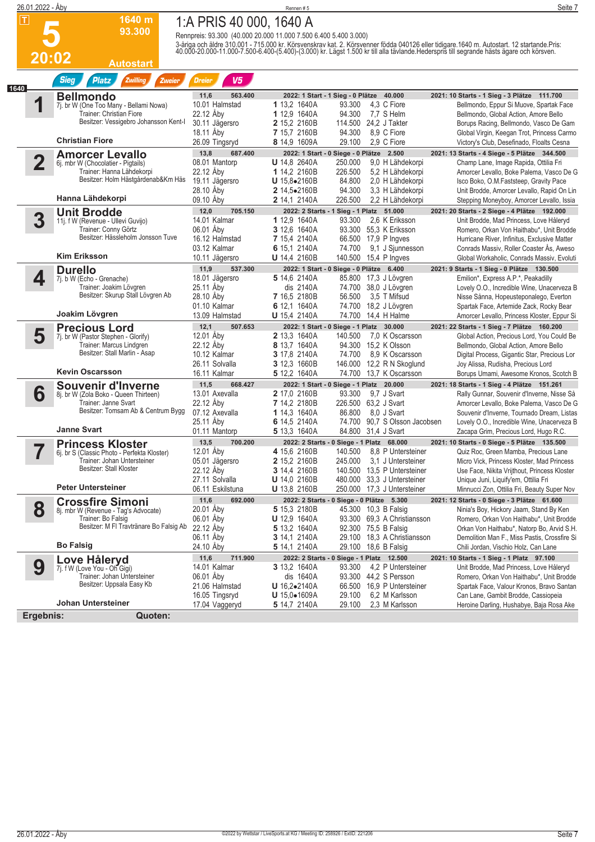|      | 26.01.2022 - Åby        |                                                                        |                                                                  | Rennen #5                                  |                                                                            | Seite 7                                                                                                                                                                                                                           |
|------|-------------------------|------------------------------------------------------------------------|------------------------------------------------------------------|--------------------------------------------|----------------------------------------------------------------------------|-----------------------------------------------------------------------------------------------------------------------------------------------------------------------------------------------------------------------------------|
|      | $\overline{\mathsf{T}}$ | 1640 m                                                                 | 1:A PRIS 40 000, 1640 A                                          |                                            |                                                                            |                                                                                                                                                                                                                                   |
|      |                         | 93.300                                                                 | Rennpreis: 93.300 (40.000 20.000 11.000 7.500 6.400 5.400 3.000) |                                            |                                                                            |                                                                                                                                                                                                                                   |
|      |                         |                                                                        |                                                                  |                                            |                                                                            | 3-åriga och äldre 310.001 - 715.000 kr. Körsvenskrav kat. 2. Körsvenner födda 040126 eller tidigare 1640 m. Autostart. 12 startande Pris:<br>40.000-20.000-11.000-7.500-6.400-(5.400)-(3.000) kr. Lägst 1.500 kr till alla tävlan |
|      | 20:02                   | Autostart                                                              |                                                                  |                                            |                                                                            |                                                                                                                                                                                                                                   |
|      |                         | <b>Sieg</b><br><b>Zwilling</b><br><b>Platz</b><br>Zweier               | V <sub>5</sub><br><b>Dreier</b>                                  |                                            |                                                                            |                                                                                                                                                                                                                                   |
| 1640 |                         | <b>Bellmondo</b>                                                       | 11,6<br>563.400                                                  |                                            | 2022: 1 Start - 1 Sieg - 0 Plätze 40.000                                   | 2021: 10 Starts - 1 Sieg - 3 Plätze 111.700                                                                                                                                                                                       |
|      | 1                       | 7j. br W (One Too Many - Bellami Nowa)<br>Trainer: Christian Fiore     | 10.01 Halmstad<br>22.12 Åbv                                      | 1 13,2 1640A<br>1 12,9 1640A               | 93.300<br>4,3 C Fiore<br>94.300<br>7,7 S Helm                              | Bellmondo, Eppur Si Muove, Spartak Face<br>Bellmondo, Global Action, Amore Bello                                                                                                                                                  |
|      |                         | Besitzer: Vessigebro Johansson Kent-I                                  | 30.11 Jägersro                                                   | 2 15,2 2160B                               | 114.500 24,2 J Takter                                                      | Borups Racing, Bellmondo, Vasco De Gam                                                                                                                                                                                            |
|      |                         |                                                                        | 18.11 Aby                                                        | 7 15,7 2160B                               | 94.300<br>8,9 C Fiore                                                      | Global Virgin, Keegan Trot, Princess Carmo                                                                                                                                                                                        |
|      |                         | <b>Christian Fiore</b>                                                 | 26.09 Tingsryd                                                   | 8 14,9 1609A                               | 29.100<br>2,9 C Fiore                                                      | Victory's Club, Desefinado, Floalts Cesna                                                                                                                                                                                         |
|      | $\overline{\mathbf{2}}$ | <b>Amorcer Levallo</b><br>6j. mbr W (Chocolatier - Pigtails)           | 687.400<br>13,8<br>08.01 Mantorp                                 | <b>U</b> 14,8 2640A                        | 2022: 1 Start - 0 Siege - 0 Plätze 2.500<br>250.000<br>9,0 H Lähdekorpi    | 2021: 13 Starts - 4 Siege - 5 Plätze 344.500<br>Champ Lane, Image Rapida, Ottilia Fri                                                                                                                                             |
|      |                         | Trainer: Hanna Lähdekorpi                                              | 22.12 Aby                                                        | 1 14,2 2160B                               | 226.500<br>5,2 H Lähdekorpi                                                | Amorcer Levallo, Boke Palema, Vasco De G                                                                                                                                                                                          |
|      |                         | Besitzer: Holm Hästgårdenab&Km Häs                                     | 19.11 Jägersro                                                   | $U$ 15,8 $\bullet$ 2160B                   | 84.800<br>2,0 H Lähdekorpi                                                 | Isco Boko, O.M.Faststeep, Gravity Pace                                                                                                                                                                                            |
|      |                         | Hanna Lähdekorpi                                                       | 28.10 Aby<br>09.10 Abv                                           | 2 14,5 • 2160 B<br>2 14,1 2140A            | 94.300<br>3,3 H Lähdekorpi<br>226.500<br>2.2 H Lähdekorpi                  | Unit Brodde, Amorcer Levallo, Rapid On Lin                                                                                                                                                                                        |
|      |                         | <b>Unit Brodde</b>                                                     | 12,0<br>705.150                                                  |                                            | 2022: 2 Starts - 1 Sieg - 1 Platz 51.000                                   | Stepping Moneyboy, Amorcer Levallo, Issia<br>2021: 20 Starts - 2 Siege - 4 Plätze 192.000                                                                                                                                         |
|      | 3                       | 11j. f W (Revenue - Ullevi Guvijo)                                     | 14.01 Kalmar                                                     | 1 12,9 1640A                               | 93.300<br>2.6 K Eriksson                                                   | Unit Brodde, Mad Princess, Love Håleryd                                                                                                                                                                                           |
|      |                         | Trainer: Conny Görtz                                                   | 06.01 Aby                                                        | 3 12,6 1640A                               | 93.300 55,3 K Eriksson                                                     | Romero, Orkan Von Haithabu*, Unit Brodde                                                                                                                                                                                          |
|      |                         | Besitzer: Hässleholm Jonsson Tuve                                      | 16.12 Halmstad<br>03.12 Kalmar                                   | 7 15,4 2140A<br>6 15.1 2140A               | 66.500 17,9 P Ingves<br>74.700                                             | Hurricane River, Infinitus, Exclusive Matter<br>Conrads Massiv, Roller Coaster As, Aweso                                                                                                                                          |
|      |                         | <b>Kim Eriksson</b>                                                    | 10.11 Jägersro                                                   | U 14,4 2160B                               | 9,1 J Sjunnesson<br>140.500 15,4 P Ingves                                  | Global Workaholic, Conrads Massiv, Evoluti                                                                                                                                                                                        |
|      |                         | <b>Durello</b>                                                         | 537.300<br>11,9                                                  |                                            | 2022: 1 Start - 0 Siege - 0 Plätze 6.400                                   | 2021: 9 Starts - 1 Sieg - 0 Plätze 130.500                                                                                                                                                                                        |
|      | 4                       | 7j. b W (Echo - Grenache)                                              | 18.01 Jägersro                                                   | 5 14,6 2140A                               | 85.800 17,3 J Lövgren                                                      | Emilion*, Express A.P.*, Peakadilly                                                                                                                                                                                               |
|      |                         | Trainer: Joakim Lövgren<br>Besitzer: Skurup Stall Lövgren Ab           | 25.11 Aby<br>28.10 Aby                                           | dis 2140A<br>7 16,5 2180B                  | 74.700 38,0 J Lövgren<br>56.500<br>3.5 T Mifsud                            | Lovely O.O., Incredible Wine, Unacerveza B                                                                                                                                                                                        |
|      |                         |                                                                        | 01.10 Kalmar                                                     | 6 12,1 1640A                               | 74.700 18,2 J Lövgren                                                      | Nisse Sånna, Hopeusteponalego, Everton<br>Spartak Face, Artemide Zack, Rocky Bear                                                                                                                                                 |
|      |                         | Joakim Lövgren                                                         | 13.09 Halmstad                                                   | <b>U</b> 15,4 2140A                        | 74.700 14,4 H Halme                                                        | Amorcer Levallo, Princess Kloster, Eppur Si                                                                                                                                                                                       |
|      |                         | <b>Precious Lord</b>                                                   | 12,1<br>507.653                                                  |                                            | 2022: 1 Start - 0 Siege - 1 Platz 30.000                                   | 2021: 22 Starts - 1 Sieg - 7 Plätze 160.200                                                                                                                                                                                       |
|      | 5                       | 7j. br W (Pastor Stephen - Glorify)<br>Trainer: Marcus Lindgren        | 12.01 Åby<br>22.12 Aby                                           | 2 13.3 1640A<br>8 13,7 1640A               | 140.500<br>7.0 K Oscarsson<br>94.300 15,2 K Olsson                         | Global Action, Precious Lord, You Could Be                                                                                                                                                                                        |
|      |                         | Besitzer: Stall Marlin - Asap                                          | 10.12 Kalmar                                                     | 3 17,8 2140A                               | 74.700<br>8.9 K Oscarsson                                                  | Bellmondo, Global Action, Amore Bello<br>Digital Process, Gigantic Star, Precious Lor                                                                                                                                             |
|      |                         |                                                                        | 26.11 Solvalla                                                   | <b>3</b> 12,3 1660B                        | 146.000 12,2 R N Skoglund                                                  | Joy Alissa, Rudisha, Precious Lord                                                                                                                                                                                                |
|      |                         | <b>Kevin Oscarsson</b>                                                 | 16.11 Kalmar                                                     | 5 12,2 1640A                               | 74.700<br>13,7 K Oscarsson                                                 | Borups Umami, Awesome Kronos, Scotch B                                                                                                                                                                                            |
|      | 6                       | Souvenir d'Inverne                                                     | 11,5<br>668.427<br>13.01 Axevalla                                | 2 17,0 2160B                               | 2022: 1 Start - 0 Siege - 1 Platz 20.000<br>93.300<br>9.7 J Svart          | 2021: 18 Starts - 1 Sieg - 4 Plätze 151.261<br>Rally Gunnar, Souvenir d'Inverne, Nisse Så                                                                                                                                         |
|      |                         | 8j. br W (Zola Boko - Queen Thirteen)<br>Trainer: Janne Svart          | 22.12 Aby                                                        | 7 14,2 2180B                               | 226.500 63,2 J Svart                                                       | Amorcer Levallo, Boke Palema, Vasco De G                                                                                                                                                                                          |
|      |                         | Besitzer: Tomsam Ab & Centrum Bygg                                     | 07.12 Axevalla                                                   | 1 14,3 1640A                               | 86.800<br>8.0 J Svart                                                      | Souvenir d'Inverne, Tournado Dream, Listas                                                                                                                                                                                        |
|      |                         | <b>Janne Svart</b>                                                     | 25.11 Aby                                                        | 6 14,5 2140A                               | 74.700 90.7 S Olsson Jacobsen                                              | Lovely O.O., Incredible Wine, Unacerveza B                                                                                                                                                                                        |
|      |                         |                                                                        | 01.11 Mantorp<br>700.200                                         | 5 13,3 1640A                               | 84.800 31,4 J Svart                                                        | Zacapa Grim, Precious Lord, Hugo R.C.                                                                                                                                                                                             |
|      |                         | <b>Princess Kloster</b><br>6j. br S (Classic Photo - Perfekta Kloster) | 13,5<br>12.01 Åby                                                | 4 15,6 2160B                               | 2022: 2 Starts - 0 Siege - 1 Platz 68.000<br>140.500<br>8.8 P Untersteiner | 2021: 10 Starts - 0 Siege - 5 Plätze 135.500<br>Quiz Roc, Green Mamba, Precious Lane                                                                                                                                              |
|      |                         | Trainer: Johan Untersteiner                                            | 05.01 Jägersro                                                   | 2 15,2 2160B                               | 245.000<br>3,1 J Untersteiner                                              | Micro Vick, Princess Kloster, Mad Princess                                                                                                                                                                                        |
|      |                         | Besitzer: Stall Kloster                                                | 22.12 Aby                                                        | <b>3</b> 14,4 2160B                        | 140.500 13,5 P Untersteiner                                                | Use Face, Nikita Vrijthout, Princess Kloster                                                                                                                                                                                      |
|      |                         | <b>Peter Untersteiner</b>                                              | 27.11 Solvalla<br>06.11 Eskilstuna                               | <b>U</b> 14,0 2160B<br><b>U</b> 13,8 2160B | 480.000 33,3 J Untersteiner<br>250.000 17,3 J Untersteiner                 | Unique Juni, Liquify'em, Ottilia Fri<br>Minnucci Zon, Ottilia Fri, Beauty Super Nov                                                                                                                                               |
|      |                         | <b>Crossfire Simoni</b>                                                | 11,6<br>692.000                                                  |                                            | 2022: 2 Starts - 0 Siege - 0 Plätze 5.300                                  | 2021: 12 Starts - 0 Siege - 3 Plätze 61.600                                                                                                                                                                                       |
|      | 8                       | 8j. mbr W (Revenue - Tag's Advocate)                                   | 20.01 Åby                                                        | 5 15,3 2180B                               | 45.300 10,3 B Falsig                                                       | Ninia's Boy, Hickory Jaam, Stand By Ken                                                                                                                                                                                           |
|      |                         | Trainer: Bo Falsig<br>Besitzer: M FI Travtränare Bo Falsig Ab          | 06.01 Aby<br>22.12 Aby                                           | <b>U</b> 12,9 1640A                        | 93.300 69,3 A Christiansson<br>92.300 75,5 B Falsig                        | Romero, Orkan Von Haithabu*, Unit Brodde                                                                                                                                                                                          |
|      |                         |                                                                        | 06.11 Aby                                                        | 5 13,2 1640A<br><b>3</b> 14,1 2140A        | 29.100 18,3 A Christiansson                                                | Orkan Von Haithabu*, Natorp Bo, Arvid S.H.<br>Demolition Man F., Miss Pastis, Crossfire Si                                                                                                                                        |
|      |                         | <b>Bo Falsig</b>                                                       | 24.10 Aby                                                        | 5 14,1 2140A                               | 29.100 18,6 B Falsig                                                       | Chili Jordan, Vischio Holz, Can Lane                                                                                                                                                                                              |
|      |                         | Love Håleryd                                                           | 711.900<br>11,6                                                  |                                            | 2022: 2 Starts - 0 Siege - 1 Platz 12.500                                  | 2021: 10 Starts - 1 Sieg - 1 Platz 97.100                                                                                                                                                                                         |
|      | 9                       | 7j. f W (Love You - Oh Gigi)<br>Trainer: Johan Untersteiner            | 14.01 Kalmar<br>06.01 Aby                                        | 3 13,2 1640A<br>dis 1640A                  | 93.300<br>4,2 P Untersteiner<br>93.300 44,2 S Persson                      | Unit Brodde, Mad Princess, Love Håleryd<br>Romero, Orkan Von Haithabu*, Unit Brodde                                                                                                                                               |
|      |                         | Besitzer: Uppsala Easy Kb                                              | 21.06 Halmstad                                                   | <b>U</b> $16,2-2140A$                      | 66.500 16,9 P Untersteiner                                                 | Spartak Face, Valour Kronos, Bravo Santan                                                                                                                                                                                         |
|      |                         |                                                                        | 16.05 Tingsryd                                                   | <b>U</b> $15,0$ •1609A                     | 29.100<br>6,2 M Karlsson                                                   | Can Lane, Gambit Brodde, Cassiopeia                                                                                                                                                                                               |
|      |                         | Johan Untersteiner                                                     | 17.04 Vaggeryd                                                   | 5 14,7 2140A                               | 29.100<br>2,3 M Karlsson                                                   | Heroine Darling, Hushabye, Baja Rosa Ake                                                                                                                                                                                          |
|      | Ergebnis:               | Quoten:                                                                |                                                                  |                                            |                                                                            |                                                                                                                                                                                                                                   |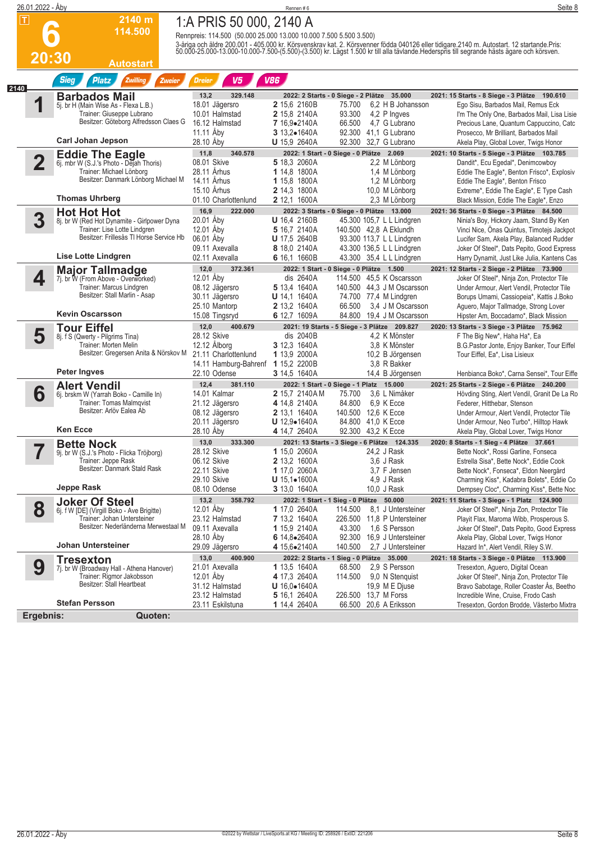|      | 26.01.2022 - Åby   |                                                                           |                                                                    | Rennen#6                                      |                                                              | Seite 8                                                                                                                                                                                                                           |
|------|--------------------|---------------------------------------------------------------------------|--------------------------------------------------------------------|-----------------------------------------------|--------------------------------------------------------------|-----------------------------------------------------------------------------------------------------------------------------------------------------------------------------------------------------------------------------------|
|      | $\boxed{\text{T}}$ | 2140 m                                                                    | 1:A PRIS 50 000, 2140 A                                            |                                               |                                                              |                                                                                                                                                                                                                                   |
|      |                    | 114.500                                                                   | Rennpreis: 114.500 (50.000 25.000 13.000 10.000 7.500 5.500 3.500) |                                               |                                                              |                                                                                                                                                                                                                                   |
|      |                    |                                                                           |                                                                    |                                               |                                                              | 3-åriga och äldre 200.001 - 405.000 kr. Körsvenskrav kat. 2. Körsvenner födda 040126 eller tidigare 2140 m. Autostart. 12 startande Pris:<br>50.000-25.000-13.000-10.000-7.500-(5.500)-(3.500) kr. Lägst 1.500 kr till alla tävla |
|      | 20:30              | Autostart                                                                 |                                                                    |                                               |                                                              |                                                                                                                                                                                                                                   |
|      |                    | <b>Sieg</b><br><b>Platz</b><br>Zwilling<br>Zweier                         | V <sub>5</sub><br>Dreier                                           | <b>V86</b>                                    |                                                              |                                                                                                                                                                                                                                   |
| 2140 |                    | <b>Barbados Mail</b>                                                      | 13,2<br>329.148                                                    |                                               | 2022: 2 Starts - 0 Siege - 2 Plätze 35.000                   | 2021: 15 Starts - 8 Siege - 3 Plätze 190.610                                                                                                                                                                                      |
|      | 1                  | 5j. br H (Main Wise As - Flexa L.B.)                                      | 18.01 Jägersro                                                     | 2 15,6 2160B                                  | 6.2 H B Johansson<br>75.700                                  | Ego Sisu, Barbados Mail, Remus Eck                                                                                                                                                                                                |
|      |                    | Trainer: Giuseppe Lubrano<br>Besitzer: Göteborg Alfredsson Claes G        | 10.01 Halmstad<br>16.12 Halmstad                                   | 2 15,8 2140A<br>7 16,9.2140A                  | 93.300<br>4,2 P Ingves<br>66.500<br>4.7 G Lubrano            | I'm The Only One, Barbados Mail, Lisa Lisie<br>Precious Lane, Quantum Cappuccino, Catc                                                                                                                                            |
|      |                    |                                                                           | 11.11 Aby                                                          | 3 13,2.1640A                                  | 92.300 41.1 G Lubrano                                        | Prosecco, Mr Brilliant, Barbados Mail                                                                                                                                                                                             |
|      |                    | <b>Carl Johan Jepson</b>                                                  | 28.10 Aby                                                          | <b>U</b> 15,9 2640A                           | 92.300<br>32,7 G Lubrano                                     | Akela Play, Global Lover, Twigs Honor                                                                                                                                                                                             |
|      | $\overline{2}$     | <b>Eddie The Eagle</b><br>6j. mbr W (S.J.'s Photo - Dejah Thoris)         | 11,8<br>340.578<br>08.01 Skive                                     | 5 18,3 2060A                                  | 2022: 1 Start - 0 Siege - 0 Plätze 2.069<br>2,2 M Lönborg    | 2021: 10 Starts - 5 Siege - 3 Plätze 103.785<br>Dandit*, Ecu Egedal*, Denimcowboy                                                                                                                                                 |
|      |                    | Trainer: Michael Lönborg                                                  | 28.11 Århus                                                        | 1 14,8 1800A                                  | 1,4 M Lönborg                                                | Eddie The Eagle*, Benton Frisco*, Explosiv                                                                                                                                                                                        |
|      |                    | Besitzer: Danmark Lönborg Michael M                                       | 14.11 Århus                                                        | 1 15,8 1800A                                  | 1.2 M Lönborg                                                | Eddie The Eagle*, Benton Frisco                                                                                                                                                                                                   |
|      |                    | <b>Thomas Uhrberg</b>                                                     | 15.10 Arhus<br>01.10 Charlottenlund                                | 2 14,3 1800A<br>2 12,1 1600A                  | 10,0 M Lönborg<br>2,3 M Lönborg                              | Extreme*, Eddie The Eagle*, E Type Cash                                                                                                                                                                                           |
|      |                    | <b>Hot Hot Hot</b>                                                        | 16,9<br>222.000                                                    |                                               | 2022: 3 Starts - 0 Siege - 0 Plätze 13.000                   | Black Mission, Eddie The Eagle*, Enzo<br>2021: 36 Starts - 0 Siege - 3 Plätze 84.500                                                                                                                                              |
|      | 3                  | 8j. br W (Red Hot Dynamite - Girlpower Dyna                               | 20.01 Åby                                                          | <b>U</b> 16,4 2160B                           | 45.300 105,7 L L Lindgren                                    | Ninia's Boy, Hickory Jaam, Stand By Ken                                                                                                                                                                                           |
|      |                    | Trainer: Lise Lotte Lindgren<br>Besitzer: Frillesås TI Horse Service Hb   | 12.01 Aby                                                          | 5 16.7 2140A                                  | 140.500 42,8 A Eklundh                                       | Vinci Nice, Onas Quintus, Timotejs Jackpot                                                                                                                                                                                        |
|      |                    |                                                                           | 06.01 Aby<br>09.11 Axevalla                                        | <b>U</b> 17,5 2640B<br>8 18,0 2140A           | 93.300 113,7 L L Lindgren<br>43.300 136,5 L L Lindgren       | Lucifer Sam, Akela Play, Balanced Rudder<br>Joker Of Steel*, Dats Pepito, Good Express                                                                                                                                            |
|      |                    | <b>Lise Lotte Lindgren</b>                                                | 02.11 Axevalla                                                     | 6 16,1 1660B                                  | 43.300 35,4 L L Lindgren                                     | Harry Dynamit, Just Like Julia, Kantens Cas                                                                                                                                                                                       |
|      |                    | <b>Major Tallmadge</b>                                                    | 12,0<br>372.361                                                    |                                               | 2022: 1 Start - 0 Siege - 0 Plätze 1.500                     | 2021: 12 Starts - 2 Siege - 2 Plätze 73.900                                                                                                                                                                                       |
|      | 4                  | 7j. br W (From Above - Overworked)<br>Trainer: Marcus Lindgren            | 12.01 Åby<br>08.12 Jägersro                                        | dis 2640A<br>5 13,4 1640A                     | 114.500 45.5 K Oscarsson<br>140.500 44,3 J M Oscarsson       | Joker Of Steel*, Ninja Zon, Protector Tile                                                                                                                                                                                        |
|      |                    | Besitzer: Stall Marlin - Asap                                             | 30.11 Jägersro                                                     | <b>U</b> 14,1 1640A                           | 74.700 77,4 M Lindgren                                       | Under Armour, Alert Vendil, Protector Tile<br>Borups Umami, Cassiopeia*, Kattis J.Boko                                                                                                                                            |
|      |                    |                                                                           | 25.10 Mantorp                                                      |                                               |                                                              |                                                                                                                                                                                                                                   |
|      |                    |                                                                           |                                                                    | 2 13,2 1640A                                  | 66.500<br>3.4 J M Oscarsson                                  | Aguero, Major Tallmadge, Strong Lover                                                                                                                                                                                             |
|      |                    | <b>Kevin Oscarsson</b>                                                    | 15.08 Tingsryd                                                     | 6 12,7 1609A                                  | 84.800<br>19,4 J M Oscarsson                                 | Hipster Am, Boccadamo*, Black Mission                                                                                                                                                                                             |
|      |                    | <b>Tour Eiffel</b>                                                        | 12,0<br>400.679                                                    |                                               | 2021: 19 Starts - 5 Siege - 3 Plätze 209.827                 | 2020: 13 Starts - 3 Siege - 3 Plätze 75.962                                                                                                                                                                                       |
|      | 5                  | 8j. f S (Qwerty - Pilgrims Tina)<br>Trainer: Morten Melin                 | 28.12 Skive<br>12.12 Alborg                                        | dis 2040B<br>3 12,3 1640A                     | 4,2 K Mönster<br>3,8 K Mönster                               | F The Big New*, Haha Ha*, Ea<br>B.G.Pastor Jonte, Enjoy Banker, Tour Eiffel                                                                                                                                                       |
|      |                    | Besitzer: Gregersen Anita & Nörskov M                                     | 21.11 Charlottenlund                                               | 1 13,9 2000A                                  | 10,2 B Jörgensen                                             | Tour Eiffel, Ea*, Lisa Lisieux                                                                                                                                                                                                    |
|      |                    | Peter Ingves                                                              | 14.11 Hamburg-Bahrenf                                              | 1 15,2 2200B                                  | 3.8 R Bakker                                                 |                                                                                                                                                                                                                                   |
|      |                    |                                                                           | 22.10 Odense<br>12,4<br>381.110                                    | 3 14,5 1640A                                  | 14,4 B Jörgensen<br>2022: 1 Start - 0 Siege - 1 Platz 15.000 | Henbianca Boko*, Carna Sensei*, Tour Eiffe<br>2021: 25 Starts - 2 Siege - 6 Plätze 240.200                                                                                                                                        |
|      | 6                  | <b>Alert Vendil</b><br>6j. brskm W (Yarrah Boko - Camille In)             | 14.01 Kalmar                                                       | 2 15,7 2140AM                                 | 3.6 L Nimåker<br>75.700                                      | Hövding Sting, Alert Vendil, Granit De La Ro                                                                                                                                                                                      |
|      |                    | Trainer: Tomas Malmqvist<br>Besitzer: Arlöv Ealea Ab                      | 21.12 Jägersro                                                     | 4 14,8 2140A                                  | 84.800<br>6.9 K Ecce                                         | Federer, Hitthebar, Stenson                                                                                                                                                                                                       |
|      |                    |                                                                           | 08.12 Jägersro                                                     | 2 13,1 1640A<br>$U$ 12,9 $\bullet$ 1640A      | 140.500 12,6 K Ecce<br>84.800 41,0 K Ecce                    | Under Armour, Alert Vendil, Protector Tile<br>Under Armour, Neo Turbo*, Hilltop Hawk                                                                                                                                              |
|      |                    | <b>Ken Ecce</b>                                                           | 20.11 Jägersro<br>28.10 Aby                                        | 4 14,7 2640A                                  | 92.300 43,2 K Ecce                                           | Akela Play, Global Lover, Twigs Honor                                                                                                                                                                                             |
|      |                    | <b>Bette Nock</b>                                                         | 333.300<br>13,0                                                    |                                               | 2021: 13 Starts - 3 Siege - 6 Plätze 124.335                 | 2020: 8 Starts - 1 Sieg - 4 Plätze 37.661                                                                                                                                                                                         |
|      |                    | 9j. br W (S.J.'s Photo - Flicka Tröjborg)                                 | 28.12 Skive                                                        | 1 15,0 2060A                                  | 24,2 J Rask                                                  | Bette Nock*, Rossi Garline, Fonseca                                                                                                                                                                                               |
|      |                    | Trainer: Jeppe Rask<br>Besitzer: Danmark Stald Rask                       | 06.12 Skive<br>22.11 Skive                                         | 2 13,2 1600A<br>1 17,0 2060A                  | 3,6 J Rask<br>3,7 F Jensen                                   | Estrella Sisa*, Bette Nock*, Eddie Cook<br>Bette Nock*, Fonseca*, Eldon Neergård                                                                                                                                                  |
|      |                    |                                                                           | 29.10 Skive                                                        | $U$ 15,1 $\bullet$ 1600A                      | 4,9 J Rask                                                   | Charming Kiss*, Kadabra Bolets*, Eddie Co                                                                                                                                                                                         |
|      |                    | Jeppe Rask                                                                | 08.10 Odense                                                       | 3 13,0 1640A                                  | 10,0 J Rask                                                  | Dempsey Cloc*, Charming Kiss*, Bette Noc                                                                                                                                                                                          |
|      |                    | <b>Joker Of Steel</b>                                                     | 358.792<br>13,2                                                    |                                               | 2022: 1 Start - 1 Sieg - 0 Plätze 50.000<br>114.500          | 2021: 11 Starts - 3 Siege - 1 Platz 124.900<br>Joker Of Steel*, Ninja Zon, Protector Tile                                                                                                                                         |
|      | 8                  | 6j. f W [DE] (Virgill Boko - Ave Brigitte)<br>Trainer: Johan Untersteiner | 12.01 Åby<br>23.12 Halmstad                                        | 1 17,0 2640A<br>7 13,2 1640A                  | 8,1 J Untersteiner<br>226.500 11.8 P Untersteiner            | Playit Flax, Maroma Wibb, Prosperous S.                                                                                                                                                                                           |
|      |                    | Besitzer: Nederländerna Merwestaal M                                      | 09.11 Axevalla                                                     | 1 15,9 2140A                                  | 43.300<br>1,6 S Persson                                      | Joker Of Steel*, Dats Pepito, Good Express                                                                                                                                                                                        |
|      |                    | Johan Untersteiner                                                        | 28.10 Aby<br>29.09 Jägersro                                        | 6 14,8●2640A<br><b>4</b> 15,6●2140A           | 92.300 16,9 J Untersteiner<br>140.500<br>2,7 J Untersteiner  | Akela Play, Global Lover, Twigs Honor<br>Hazard In*, Alert Vendil, Riley S.W.                                                                                                                                                     |
|      |                    | <b>Tresexton</b>                                                          | 13,0<br>400.900                                                    |                                               | 2022: 2 Starts - 1 Sieg - 0 Plätze 35.000                    | 2021: 18 Starts - 3 Siege - 0 Plätze 113.900                                                                                                                                                                                      |
|      | 9                  | 7j. br W (Broadway Hall - Athena Hanover)                                 | 21.01 Axevalla                                                     | 1 13,5 1640A                                  | 2,9 S Persson<br>68.500                                      | Tresexton, Aguero, Digital Ocean                                                                                                                                                                                                  |
|      |                    | Trainer: Rigmor Jakobsson<br>Besitzer: Stall Heartbeat                    | 12.01 Åby                                                          | 4 17,3 2640A                                  | 114.500<br>9,0 N Stenguist                                   | Joker Of Steel*, Ninja Zon, Protector Tile                                                                                                                                                                                        |
|      |                    |                                                                           | 31.12 Halmstad<br>23.12 Halmstad                                   | <b>U</b> $16.0 \bullet 1640A$<br>5 16,1 2640A | 19,9 M E Djuse<br>226.500 13,7 M Forss                       | Bravo Sabotage, Roller Coaster As, Beetho<br>Incredible Wine, Cruise, Frodo Cash                                                                                                                                                  |
|      | Ergebnis:          | <b>Stefan Persson</b><br>Quoten:                                          | 23.11 Eskilstuna                                                   | 1 14,4 2640A                                  | 66.500 20,6 A Eriksson                                       | Tresexton, Gordon Brodde, Västerbo Mixtra                                                                                                                                                                                         |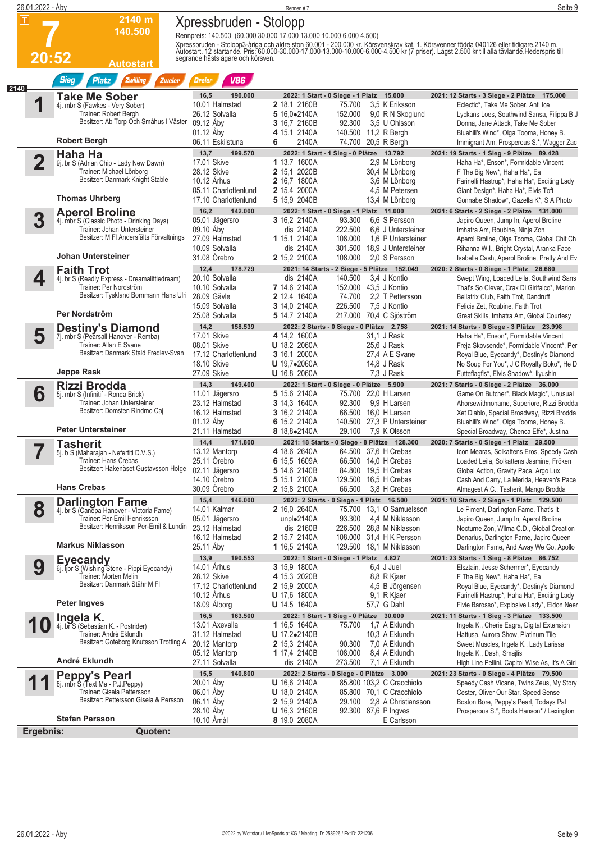|      | 26.01.2022 - Åby              |                                                                           |                                              | Rennen #7                                                                                           | Seite 9                                                                                                                                                                                                                           |
|------|-------------------------------|---------------------------------------------------------------------------|----------------------------------------------|-----------------------------------------------------------------------------------------------------|-----------------------------------------------------------------------------------------------------------------------------------------------------------------------------------------------------------------------------------|
|      | $\vert \bm{\mathsf{T}} \vert$ | 2140 m                                                                    | Xpressbruden - Stolopp                       |                                                                                                     |                                                                                                                                                                                                                                   |
|      |                               | 140.500                                                                   |                                              | Rennpreis: 140.500 (60.000 30.000 17.000 13.000 10.000 6.000 4.500)                                 |                                                                                                                                                                                                                                   |
|      |                               |                                                                           |                                              |                                                                                                     | Xpressbruden - Stolopp3-åriga och äldre ston 60.001 - 200.000 kr. Körsvenskrav kat. 1. Körsvenner födda 040126 eller tidigare.2140 m.<br>Autostart. 12 startande. Pris: 60.000-30.000-17.000-13.000-10.000-6.000-4.500 kr (7 pris |
|      | 20:52                         | <b>Autostart</b>                                                          | segrande hästs ägare och körsven.            |                                                                                                     |                                                                                                                                                                                                                                   |
|      |                               | <b>Sieg</b><br>Zwilling<br><b>Platz</b><br>Zweier                         | <b>V86</b><br>Dreier                         |                                                                                                     |                                                                                                                                                                                                                                   |
| 2140 |                               | Take Me Sober                                                             | 16,5<br>190.000                              | 2022: 1 Start - 0 Siege - 1 Platz 15.000                                                            | 2021: 12 Starts - 3 Siege - 2 Plätze 175.000                                                                                                                                                                                      |
|      | 4                             | 4j. mbr S (Fawkes - Very Sober)                                           | 10.01 Halmstad                               | 2 18,1 2160B<br>75.700<br>3.5 K Eriksson                                                            | Eclectic*, Take Me Sober, Anti Ice                                                                                                                                                                                                |
|      |                               | Trainer: Robert Bergh<br>Besitzer: Ab Torp Och Småhus I Väster            | 26.12 Solvalla<br>09.12 Åby                  | 5 16,0.2140A<br>152.000<br>9,0 R N Skoglund<br>92.300<br>3.5 U Ohlsson                              | Lyckans Loes, Southwind Sansa, Filippa B.J<br>Donna, Jane Attack, Take Me Sober                                                                                                                                                   |
|      |                               |                                                                           | 01.12 Aby                                    | 3 16,7 2160B<br>140.500 11,2 R Bergh<br>4 15,1 2140A                                                | Bluehill's Wind*, Olga Tooma, Honey B.                                                                                                                                                                                            |
|      |                               | <b>Robert Bergh</b>                                                       | 06.11 Eskilstuna                             | 74.700 20,5 R Bergh<br>2140A<br>6                                                                   | Immigrant Am, Prosperous S.*, Wagger Zac                                                                                                                                                                                          |
|      |                               | Haha Ha<br>9j. br S (Adrian Chip - Lady New Dawn)                         | 13,7<br>199.570<br>17.01 Skive               | 2022: 1 Start - 1 Sieg - 0 Plätze 13.792<br>1 13,7 1600A<br>2,9 M Lönborg                           | 2021: 19 Starts - 1 Sieg - 9 Plätze 89.428<br>Haha Ha*, Enson*, Formidable Vincent                                                                                                                                                |
|      |                               | Trainer: Michael Lönborg                                                  | 28.12 Skive                                  | 2 15,1 2020B<br>30,4 M Lönborg                                                                      | F The Big New*, Haha Ha*, Ea                                                                                                                                                                                                      |
|      |                               | Besitzer: Danmark Knight Stable                                           | 10.12 Arhus                                  | 2 16,7 1800A<br>3,6 M Lönborg                                                                       | Farinelli Hastrup*, Haha Ha*, Exciting Lady                                                                                                                                                                                       |
|      |                               | <b>Thomas Uhrberg</b>                                                     | 05.11 Charlottenlund<br>17.10 Charlottenlund | 2 15,4 2000A<br>4,5 M Petersen<br>5 15,9 2040B<br>13,4 M Lönborg                                    | Giant Design*, Haha Ha*, Elvis Toft<br>Gonnabe Shadow*, Gazella K*, S A Photo                                                                                                                                                     |
|      |                               | <b>Aperol Broline</b>                                                     | 142.000<br>16,2                              | 2022: 1 Start - 0 Siege - 1 Platz 11.000                                                            | 2021: 6 Starts - 2 Siege - 2 Plätze 131.000                                                                                                                                                                                       |
|      | 3                             | 4j. mbr S (Classic Photo - Drinking Days)<br>Trainer: Johan Untersteiner  | 05.01 Jägersro<br>09.10 Åby                  | 6.6 S Persson<br>3 16,2 2140A<br>93.300<br>dis 2140A<br>222.500<br>6.6 J Untersteiner               | Japiro Queen, Jump In, Aperol Broline                                                                                                                                                                                             |
|      |                               | Besitzer: M FI Andersfälts Förvaltnings                                   | 27.09 Halmstad                               | 1 15,1 2140A<br>108.000<br>1.6 P Untersteiner                                                       | Imhatra Am, Roubine, Ninja Zon<br>Aperol Broline, Olga Tooma, Global Chit Ch                                                                                                                                                      |
|      |                               | <b>Johan Untersteiner</b>                                                 | 10.09 Solvalla                               | dis 2140A<br>18,9 J Untersteiner<br>301.500                                                         | Rihanna W.I., Bright Crystal, Aranka Face                                                                                                                                                                                         |
|      |                               |                                                                           | 31.08 Orebro<br>12,4<br>178.729              | 2 15,2 2100A<br>108.000<br>2.0 S Persson<br>2021: 14 Starts - 2 Siege - 5 Plätze 152.049            | Isabelle Cash, Aperol Broline, Pretty And Ev<br>2020: 2 Starts - 0 Siege - 1 Platz 26.680                                                                                                                                         |
|      | 4                             | <b>Faith Trot</b><br>4j. br S (Readly Express - Dreamalittledream)        | 20.10 Solvalla                               | dis 2140A<br>3.4 J Kontio<br>140.500                                                                | Swept Wing, Loaded Leila, Southwind Sans                                                                                                                                                                                          |
|      |                               | Trainer: Per Nordström<br>Besitzer: Tyskland Bornmann Hans Ulri           | 10.10 Solvalla                               | 7 14,6 2140A<br>152.000 43,5 J Kontio                                                               | That's So Clever, Crak Di Girifalco*, Marlon                                                                                                                                                                                      |
|      |                               |                                                                           | 28.09 Gävle<br>15.09 Solvalla                | 2 12,4 1640A<br>74.700<br>2.2 T Pettersson<br>3 14,0 2140A<br>226.500<br>7,5 J Kontio               | Bellatrix Club, Faith Trot, Dandruff<br>Felicia Zet, Roubine, Faith Trot                                                                                                                                                          |
|      |                               | Per Nordström                                                             | 25.08 Solvalla                               | 5 14,7 2140A<br>217.000<br>70,4 C Sjöström                                                          | Great Skills, Imhatra Am, Global Courtesy                                                                                                                                                                                         |
|      |                               | <b>Destiny's Diamond</b>                                                  | 14,2<br>158.539                              | 2022: 2 Starts - 0 Siege - 0 Plätze 2.758                                                           | 2021: 14 Starts - 0 Siege - 3 Plätze 23.998                                                                                                                                                                                       |
|      | 5                             | 7j. mbr S (Pearsall Hanover - Remba)<br>Trainer: Allan E Svane            | 17.01 Skive<br>08.01 Skive                   | 4 14,2 1600A<br>31.1 J Rask<br><b>U</b> 18,2 2060A<br>25,6 J Rask                                   | Haha Ha*, Enson*, Formidable Vincent<br>Freja Skovsende*, Formidable Vincent*, Per                                                                                                                                                |
|      |                               | Besitzer: Danmark Stald Fredlev-Svan                                      | 17.12 Charlottenlund                         | 3 16,1 2000A<br>27,4 A E Svane                                                                      | Royal Blue, Eyecandy*, Destiny's Diamond                                                                                                                                                                                          |
|      |                               | Jeppe Rask                                                                | <b>18.10 Skive</b><br>27.09 Skive            | $U$ 19,7 $\bullet$ 2060A<br>14,8 J Rask<br><b>U</b> 16,8 2060A<br>7.3 J Rask                        | No Soup For You*, J C Royalty Boko*, He D<br>Futteflagfis*, Elvis Shadow*, Ilyushin                                                                                                                                               |
|      |                               | Rizzi Brodda                                                              | 14,3<br>149.400                              | 2022: 1 Start - 0 Siege - 0 Plätze 5.900                                                            | 2021: 7 Starts - 0 Siege - 2 Plätze 36.000                                                                                                                                                                                        |
|      | 6                             | 5j. mbr S (Infinitif - Ronda Brick)                                       | 11.01 Jägersro                               | 5 15,6 2140A<br>75.700 22,0 H Larsen                                                                | Game On Butcher*, Black Magic*, Unusual                                                                                                                                                                                           |
|      |                               | Trainer: Johan Untersteiner<br>Besitzer: Domsten Rindmo Caj               | 23.12 Halmstad<br>16.12 Halmstad             | 3 14,3 1640A<br>9.9 H Larsen<br>92.300<br>66.500 16,0 H Larsen<br><b>3</b> 16,2 2140A               | Ahorsewithnoname, Superiore, Rizzi Brodda<br>Xet Diablo, Special Broadway, Rizzi Brodda                                                                                                                                           |
|      |                               |                                                                           | 01.12 Åby                                    | 140.500 27,3 P Untersteiner<br>6 15,2 2140A                                                         | Bluehill's Wind*, Olga Tooma, Honey B.                                                                                                                                                                                            |
|      |                               | <b>Peter Untersteiner</b>                                                 | 21.11 Halmstad                               | 29.100<br>7,9 K Olsson<br>8 18,8•2140A                                                              | Special Broadway, Chenca Effe*, Justina                                                                                                                                                                                           |
|      |                               | <b>Tasherit</b><br>5j. b S (Maharajah - Nefertiti D.V.S.)                 | 14,4<br>171.800<br>13.12 Mantorp             | 2021: 18 Starts - 0 Siege - 8 Plätze 128.300<br>4 18,6 2640A<br>64.500 37,6 H Crebas                | 2020: 7 Starts - 0 Siege - 1 Platz 29.500<br>Icon Mearas, Solkattens Eros, Speedy Cash                                                                                                                                            |
|      |                               | Trainer: Hans Crebas                                                      | 25.11 Orebro                                 | 6 15,5 1609A<br>66.500 14,0 H Crebas                                                                | Loaded Leila, Solkattens Jasmine, Fröken                                                                                                                                                                                          |
|      |                               | Besitzer: Hakenäset Gustavsson Holge                                      | 02.11 Jägersro<br>14.10 Orebro               | 5 14,6 2140B<br>84.800<br>19,5 H Crebas<br>129.500 16,5 H Crebas<br>5 15,1 2100A                    | Global Action, Gravity Pace, Argo Lux<br>Cash And Carry, La Merida, Heaven's Pace                                                                                                                                                 |
|      |                               | <b>Hans Crebas</b>                                                        | 30.09 Örebro                                 | 2 15,8 2100A<br>66.500<br>3,8 H Crebas                                                              | Almagest A.C., Tasherit, Mango Brodda                                                                                                                                                                                             |
|      |                               | <b>Darlington Fame</b>                                                    | 15,4<br>146.000                              | 2022: 2 Starts - 0 Siege - 1 Platz 16.500                                                           | 2021: 10 Starts - 2 Siege - 1 Platz 129.500                                                                                                                                                                                       |
|      | 8                             | 4j. br S (Canepa Hanover - Victoria Fame)<br>Trainer: Per-Emil Henriksson | 14.01 Kalmar<br>05.01 Jägersro               | <b>2</b> 16,0 2640A<br>75.700<br>13.1 O Samuelsson<br>unplo2140A<br>93.300<br>4,4 M Niklasson       | Le Piment, Darlington Fame, That's It<br>Japiro Queen, Jump In, Aperol Broline                                                                                                                                                    |
|      |                               | Besitzer: Henriksson Per-Emil & Lundin                                    | 23.12 Halmstad                               | dis 2160B<br>226.500<br>28,8 M Niklasson                                                            | Nocturne Zon, Wilma C.D., Global Creation                                                                                                                                                                                         |
|      |                               | <b>Markus Niklasson</b>                                                   | 16.12 Halmstad<br>25.11 Aby                  | 2 15,7 2140A<br>108.000<br>31,4 H K Persson<br>1 16,5 2140A<br>129.500 18,1 M Niklasson             | Denarius, Darlington Fame, Japiro Queen<br>Darlington Fame, And Away We Go, Apollo                                                                                                                                                |
|      |                               | <b>Eyecandy</b>                                                           | 190.553<br>13,9                              | 2022: 1 Start - 0 Siege - 1 Platz 4.827                                                             | 2021: 23 Starts - 1 Sieg - 8 Plätze 86.752                                                                                                                                                                                        |
|      | 9                             | 6j. ijbr S (Wishing Stone - Pippi Eyecandy)                               | 14.01 Århus                                  | 3 15,9 1800A<br>6.4 J Juel                                                                          | Elsztain, Jesse Schermer*, Eyecandy                                                                                                                                                                                               |
|      |                               | Trainer: Morten Melin<br>Besitzer: Danmark Stähr M FI                     | 28.12 Skive<br>17.12 Charlottenlund          | 4 15,3 2020B<br>8,8 R Kjaer<br><b>2</b> 15,9 2000A<br>4,5 B Jörgensen                               | F The Big New*, Haha Ha*, Ea<br>Royal Blue, Eyecandy*, Destiny's Diamond                                                                                                                                                          |
|      |                               |                                                                           | 10.12 Århus                                  | 9,1 R Kjaer<br><b>U</b> 17,6 1800A                                                                  | Farinelli Hastrup*, Haha Ha*, Exciting Lady                                                                                                                                                                                       |
|      |                               | <b>Peter Ingves</b>                                                       | 18.09 Alborg                                 | 57,7 G Dahl<br><b>U</b> 14,5 1640A                                                                  | Fivie Barosso*, Explosive Lady*, Eldon Neer                                                                                                                                                                                       |
|      |                               | Ingela K.<br>4j. br S (Sebastian K. - Postrider)                          | 16,5<br>163.500<br>13.01 Axevalla            | 2022: 1 Start - 1 Sieg - 0 Plätze 30.000<br>1,7 A Eklundh<br>1 16,5 1640A<br>75.700                 | 2021: 11 Starts - 1 Sieg - 3 Plätze 133.500<br>Ingela K., Cherie Eagra, Digital Extension                                                                                                                                         |
|      |                               | Trainer: André Eklundh                                                    | 31.12 Halmstad                               | 10,3 A Eklundh<br><b>U</b> 17,2 $\bullet$ 2140B                                                     | Hattusa, Aurora Show, Platinum Tile                                                                                                                                                                                               |
|      |                               | Besitzer: Göteborg Knutsson Trotting A                                    | 20.12 Mantorp                                | <b>2</b> 15,3 2140A<br>90.300<br>7,0 A Eklundh                                                      | Sweet Muscles, Ingela K., Lady Larissa                                                                                                                                                                                            |
|      |                               | André Eklundh                                                             | 05.12 Mantorp<br>27.11 Solvalla              | 1 17,4 2140B<br>108.000<br>8,4 A Eklundh<br>273.500<br>dis 2140A<br>7,1 A Eklundh                   | Ingela K., Dash, Smajlis<br>High Line Pellini, Capitol Wise As, It's A Girl                                                                                                                                                       |
|      |                               | Peppy's Pearl<br>8j. mbr S (Text Me - P.J.Peppy)                          | 15,5<br>140.800                              | 2022: 2 Starts - 0 Siege - 0 Plätze 3.000                                                           | 2021: 23 Starts - 0 Siege - 4 Plätze 79.500                                                                                                                                                                                       |
|      |                               | Trainer: Gisela Pettersson                                                | 20.01 Åby<br>06.01 Aby                       | <b>U</b> 16,6 2140A<br>85.800 103,2 C Cracchiolo<br><b>U</b> 18,0 2140A<br>85.800 70,1 C Cracchiolo | Speedy Cash Vicane, Twins Zeus, My Story<br>Cester, Oliver Our Star, Speed Sense                                                                                                                                                  |
|      |                               | Besitzer: Pettersson Gisela & Persson                                     | 06.11 Aby                                    | 2 15,9 2140A<br>29.100<br>2.8 A Christiansson                                                       | Boston Bore, Peppy's Pearl, Todays Pal                                                                                                                                                                                            |
|      |                               | <b>Stefan Persson</b>                                                     | 28.10 Aby<br>10.10 Amål                      | 92.300 87,6 P Ingves<br><b>U</b> 16,3 2160B                                                         | Prosperous S.*, Boots Hanson* / Lexington                                                                                                                                                                                         |
|      | Ergebnis:                     | Quoten:                                                                   |                                              | 8 19,0 2080A<br>E Carlsson                                                                          |                                                                                                                                                                                                                                   |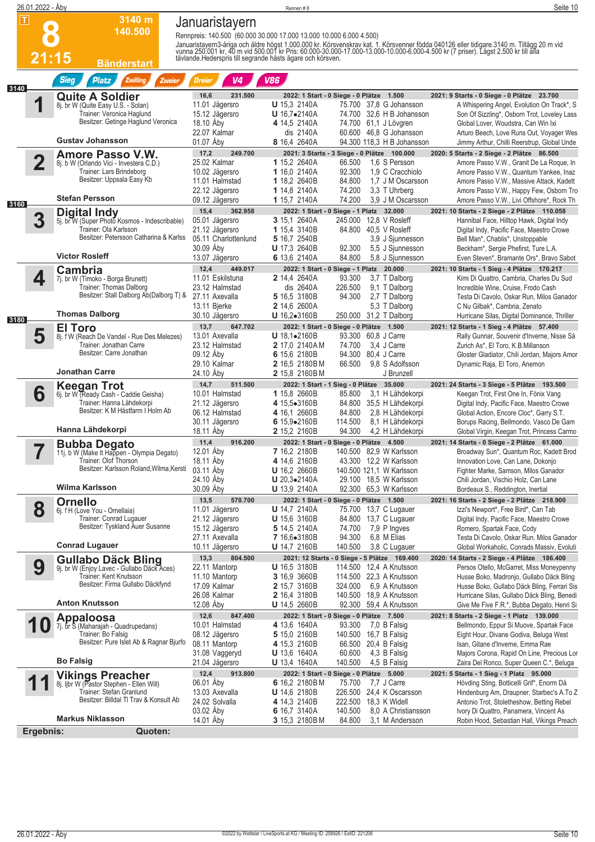|      | 26.01.2022 - Åby |                                                                      |                                                                     | Rennen #8                                |                                                                     | Seite 10                                                                                                                                                                                                                          |
|------|------------------|----------------------------------------------------------------------|---------------------------------------------------------------------|------------------------------------------|---------------------------------------------------------------------|-----------------------------------------------------------------------------------------------------------------------------------------------------------------------------------------------------------------------------------|
|      | $\blacksquare$   | 3140 m                                                               | Januaristayern                                                      |                                          |                                                                     |                                                                                                                                                                                                                                   |
|      |                  | 140.500                                                              | Rennpreis: 140.500 (60.000 30.000 17.000 13.000 10.000 6.000 4.500) |                                          |                                                                     |                                                                                                                                                                                                                                   |
|      |                  |                                                                      |                                                                     |                                          |                                                                     |                                                                                                                                                                                                                                   |
|      | 21:15            |                                                                      |                                                                     |                                          |                                                                     | Januaristayern3-åriga och äldre högst 1.000.000 kr. Körsvenskrav kat. 1. Körsvenner födda 040126 eller tidigare 3140 m. Tillägg 20 m vid<br>vunna 250.001 kr. 40 m vid 500.001 kr Pris: 60.000-30.000-17.000-13.000-10.000-6.000- |
|      |                  | Bänderstart                                                          |                                                                     |                                          |                                                                     |                                                                                                                                                                                                                                   |
| 3140 |                  | <b>Sieg</b><br><b>Platz</b><br><b>Zwilling</b><br>Zweier             | <b>Dreier</b><br>V4                                                 | <b>V86</b>                               |                                                                     |                                                                                                                                                                                                                                   |
|      |                  | <b>Quite A Soldier</b>                                               | 231.500<br>16,6                                                     |                                          | 2022: 1 Start - 0 Siege - 0 Plätze 1.500                            | 2021: 9 Starts - 0 Siege - 0 Plätze 23.700                                                                                                                                                                                        |
|      |                  | 8j. br W (Quite Easy U.S. - Solan)<br>Trainer: Veronica Haglund      | 11.01 Jägersro                                                      | <b>U</b> 15.3 2140A                      | 75.700 37,8 G Johansson                                             | A Whispering Angel, Evolution On Track*, S                                                                                                                                                                                        |
|      |                  | Besitzer: Getinge Haglund Veronica                                   | 15.12 Jägersro<br>18.10 Åby                                         | $U$ 16,7 $\bullet$ 2140A<br>4 14,5 2140A | 74.700 32,6 H B Johansson<br>74.700 61,1 J Lövgren                  | Son Of Sizzling*, Osborn Trot, Loveley Lass<br>Global Lover, Woudstra, Can Win Ixi                                                                                                                                                |
|      |                  |                                                                      | 22.07 Kalmar                                                        | dis 2140A                                | 60.600 46.8 G Johansson                                             | Arturo Beech, Love Runs Out, Voyager Wes                                                                                                                                                                                          |
|      |                  | <b>Gustav Johansson</b>                                              | 01.07 Aby                                                           | 8 16,4 2640A                             | 94.300 118,3 H B Johansson                                          | Jimmy Arthur, Chilli Reerstrup, Global Unde                                                                                                                                                                                       |
|      |                  | <b>Amore Passo V.W.</b>                                              | 17,2<br>249.700<br>25.02 Kalmar                                     | 1 15,2 2640A                             | 2021: 3 Starts - 3 Siege - 0 Plätze 100.000                         | 2020: 5 Starts - 2 Siege - 2 Plätze 86.500                                                                                                                                                                                        |
|      |                  | 8j. b W (Orlando Vici - Investera C.D.)<br>Trainer: Lars Brindeborg  | 10.02 Jägersro                                                      | 1 16,0 2140A                             | 66.500<br>1.6 S Persson<br>92.300<br>1,9 C Cracchiolo               | Amore Passo V.W., Granit De La Roque, In<br>Amore Passo V.W., Quantum Yankee, Inaz                                                                                                                                                |
|      |                  | Besitzer: Uppsala Easy Kb                                            | 11.01 Halmstad                                                      | 1 18,2 2640B                             | 84.800<br>1,7 J M Oscarsson                                         | Amore Passo V.W., Massive Attack, Kadett                                                                                                                                                                                          |
|      |                  | <b>Stefan Persson</b>                                                | 22.12 Jägersro                                                      | 1 14,8 2140A                             | 74.200<br>3,3 T Uhrberg                                             | Amore Passo V.W., Happy Few, Osborn Tro                                                                                                                                                                                           |
| 3160 |                  |                                                                      | 09.12 Jägersro                                                      | 1 15,7 2140A                             | 74.200<br>3.9 J M Oscarsson                                         | Amore Passo V.W., Livi Offshore*, Rock Th                                                                                                                                                                                         |
|      | 3                | <b>Digital Indy</b><br>5j. br W (Super Photo Kosmos - Indescribable) | 15,4<br>362.958<br>05.01 Jägersro                                   | 3 15,1 2640A                             | 2022: 1 Start - 0 Siege - 1 Platz 32.000<br>245,000 12.8 V Rosleff  | 2021: 10 Starts - 2 Siege - 2 Plätze 110.058<br>Hannibal Face, Hilltop Hawk, Digital Indy                                                                                                                                         |
|      |                  | Trainer: Ola Karlsson                                                | 21.12 Jägersro                                                      | 1 15,4 3140B                             | 84.800 40.5 V Rosleff                                               | Digital Indy, Pacific Face, Maestro Crowe                                                                                                                                                                                         |
|      |                  | Besitzer: Petersson Catharina & Karlss                               | 05.11 Charlottenlund                                                | 5 16,7 2540B                             | 3,9 J Sjunnesson                                                    | Bell Man*, Chablis*, Unstoppable                                                                                                                                                                                                  |
|      |                  | <b>Victor Rosleff</b>                                                | 30.09 Aby<br>13.07 Jägersro                                         | <b>U</b> 17,3 2640B<br>6 13,6 2140A      | 5,5 J Sjunnesson<br>92.300<br>84.800<br>5,8 J Sjunnesson            | Beckham*, Sergie Phefirst, Ture L.A.<br>Even Steven*, Bramante Ors*, Bravo Sabot                                                                                                                                                  |
|      |                  | <b>Cambria</b>                                                       | 12,4<br>449.017                                                     |                                          | 2022: 1 Start - 0 Siege - 1 Platz 20.000                            | 2021: 10 Starts - 1 Sieg - 4 Plätze 170.217                                                                                                                                                                                       |
|      | 4                | 7j. br W (Timoko - Borga Brunett)                                    | 11.01 Eskilstuna                                                    | <b>2</b> 14,4 2640A                      | 93.300<br>3,7 T Dalborg                                             | Kimi Di Quattro, Cambria, Charles Du Sud                                                                                                                                                                                          |
|      |                  | Trainer: Thomas Dalborg                                              | 23.12 Halmstad                                                      | dis 2640A                                | 226.500<br>9,1 T Dalborg                                            | Incredible Wine, Cruise, Frodo Cash                                                                                                                                                                                               |
|      |                  | Besitzer: Stall Dalborg Ab(Dalborg T) &                              | 27.11 Axevalla                                                      | 5 16,5 3180B<br>2 14,6 2600A             | 94.300<br>2.7 T Dalborg                                             | Testa Di Cavolo, Oskar Run, Milos Ganador                                                                                                                                                                                         |
|      |                  | <b>Thomas Dalborg</b>                                                | 13.11 Bjerke<br>30.10 Jägersro                                      | U 16,2•3160B                             | 5,3 T Dalborg<br>250.000<br>31,2 T Dalborg                          | C Nu Gilbak*, Cambria, Zenato<br>Hurricane Silas, Digital Dominance, Thriller                                                                                                                                                     |
| 3180 |                  | <b>El Toro</b>                                                       | 13,7<br>647.702                                                     |                                          | 2022: 1 Start - 0 Siege - 0 Plätze 1.500                            | 2021: 12 Starts - 1 Sieg - 4 Plätze 57.400                                                                                                                                                                                        |
|      | 5                | 8j. f W (Reach De Vandel - Rue Des Melezes)                          | 13.01 Axevalla                                                      | <b>U</b> $18,1\bullet 2160B$             | 93.300 60,8 J Carre                                                 | Rally Gunnar, Souvenir d'Inverne, Nisse Så                                                                                                                                                                                        |
|      |                  | Trainer: Jonathan Carre<br>Besitzer: Carre Jonathan                  | 23.12 Halmstad                                                      | <b>2</b> 17,0 2140AM                     | 3.4 J Carre<br>74.700                                               | Zurich As*, El Toro, K.B.Millanson                                                                                                                                                                                                |
|      |                  |                                                                      | 09.12 Aby<br>29.10 Kalmar                                           | 6 15,6 2180B<br>2 16,5 2180BM            | 94.300<br>80,4 J Carre<br>66.500<br>9.8 S Adolfsson                 | Gloster Gladiator, Chili Jordan, Majors Amor<br>Dynamic Raja, El Toro, Anemon                                                                                                                                                     |
|      |                  | <b>Jonathan Carre</b>                                                | 24.10 Aby                                                           | 2 15.8 2160BM                            | J Brunzell                                                          |                                                                                                                                                                                                                                   |
|      |                  | <b>Keegan Trot</b>                                                   | 14,7<br>511.500                                                     |                                          | 2022: 1 Start - 1 Sieg - 0 Plätze 35.000                            | 2021: 24 Starts - 3 Siege - 5 Plätze 193.500                                                                                                                                                                                      |
|      | 6                | 6j. br W (Ready Cash - Caddie Geisha)<br>Trainer: Hanna Lähdekorpi   | 10.01 Halmstad                                                      | 1 15,8 2660B                             | 3.1 H Lähdekorpi<br>85.800<br>84.800<br>35,5 H Lähdekorpi           | Keegan Trot, First One In, Fönix Vang                                                                                                                                                                                             |
|      |                  | Besitzer: K M Hästfarm I Holm Ab                                     | 21.12 Jägersro<br>06.12 Halmstad                                    | 4 15,5•3160B<br>4 16,1 2660B             | 84.800<br>2,8 H Lähdekorpi                                          | Digital Indy, Pacific Face, Maestro Crowe<br>Global Action, Encore Cloc*, Garry S.T.                                                                                                                                              |
|      |                  |                                                                      | 30.11 Jägersro                                                      | 6 $15,9$ $\bullet$ $2160B$               | 114.500<br>8,1 H Lähdekorpi                                         | Borups Racing, Bellmondo, Vasco De Gam                                                                                                                                                                                            |
|      |                  | Hanna Lähdekorpi                                                     | 18.11 Aby                                                           | <b>2</b> 15,2 2160B                      | 94.300<br>4.2 H Lähdekorpi                                          | Global Virgin, Keegan Trot, Princess Carmo                                                                                                                                                                                        |
|      |                  | <b>Bubba Degato</b><br>11j. b W (Make It Happen - Olympia Degato)    | 11,4<br>916.200<br>12.01 Aby                                        | 7 16,2 2180B                             | 2022: 1 Start - 0 Siege - 0 Plätze 4.500<br>140.500 82,9 W Karlsson | 2021: 14 Starts - 0 Siege - 2 Plätze 61.000                                                                                                                                                                                       |
|      |                  | Trainer: Olof Thorson                                                | 18.11 Aby                                                           | 4 14,6 2160B                             | 43.300 12,2 W Karlsson                                              | Broadway Sun*, Quantum Roc, Kadett Brod<br>Innovation Love, Can Lane, Dokonjo                                                                                                                                                     |
|      |                  | Besitzer: Karlsson Roland, Wilma, Kersti                             | 03.11 Aby                                                           | <b>U</b> 16,2 2660B                      | 140.500 121,1 W Karlsson                                            | Fighter Marke, Samson, Milos Ganador                                                                                                                                                                                              |
|      |                  | Wilma Karlsson                                                       | 24.10 Aby                                                           | $U 20,3-2140A$                           | 29.100 18.5 W Karlsson                                              | Chili Jordan, Vischio Holz, Can Lane                                                                                                                                                                                              |
|      |                  |                                                                      | 30.09 Åby                                                           | <b>U</b> 13,9 2140A                      | 92.300 65,3 W Karlsson                                              | Bordeaux S., Reddington, Inertial                                                                                                                                                                                                 |
|      | 8                | <b>Ornello</b><br>6j. f H (Love You - Ornellaia)                     | 13,5<br>570.700<br>11.01 Jägersro                                   | <b>U</b> 14,7 2140A                      | 2022: 1 Start - 0 Siege - 0 Plätze 1.500<br>75.700 13,7 C Lugauer   | 2021: 16 Starts - 2 Siege - 2 Plätze 218.900<br>Izzi's Newport*, Free Bird*, Can Tab                                                                                                                                              |
|      |                  | Trainer: Conrad Lugauer                                              | 21.12 Jägersro                                                      | <b>U</b> 15,6 3160B                      | 84.800 13,7 C Lugauer                                               | Digital Indy, Pacific Face, Maestro Crowe                                                                                                                                                                                         |
|      |                  | Besitzer: Tyskland Auer Susanne                                      | 15.12 Jägersro                                                      | 5 14,5 2140A                             | 74.700<br>7,9 P Ingves                                              | Romero, Spartak Face, Cody                                                                                                                                                                                                        |
|      |                  | <b>Conrad Lugauer</b>                                                | 27.11 Axevalla<br>10.11 Jägersro                                    | 7 16,6●3180B<br>U 14,7 2160B             | 94.300<br>6,8 M Elias<br>140.500<br>3,8 C Lugauer                   | Testa Di Cavolo, Oskar Run, Milos Ganador<br>Global Workaholic, Conrads Massiv, Evoluti                                                                                                                                           |
|      |                  | <b>Gullabo Däck Bling</b>                                            | 13,3<br>804.500                                                     |                                          | 2021: 12 Starts - 0 Siege - 5 Plätze 169.400                        | 2020: 14 Starts - 2 Siege - 4 Plätze 186.400                                                                                                                                                                                      |
|      | 9                | 9j. br W (Enjoy Lavec - Gullabo Däck Aces)                           | 22.11 Mantorp                                                       | <b>U</b> 16,5 3180B                      | 114.500 12,4 A Knutsson                                             | Persos Otello, McGarret, Miss Moneypenny                                                                                                                                                                                          |
|      |                  | Trainer: Kent Knutsson                                               | 11.10 Mantorp                                                       | 3 16,9 3660B                             | 114.500 22,3 A Knutsson                                             | Husse Boko, Madronjo, Gullabo Däck Bling                                                                                                                                                                                          |
|      |                  | Besitzer: Firma Gullabo Däckfynd                                     | 17.09 Kalmar<br>26.08 Kalmar                                        | 2 15,7 3160B                             | 324.000<br>6,9 A Knutsson<br>140.500 18,9 A Knutsson                | Husse Boko, Gullabo Däck Bling, Ferrari Sis                                                                                                                                                                                       |
|      |                  | <b>Anton Knutsson</b>                                                | 12.08 Aby                                                           | <b>2</b> 16,4 3180B<br>U 14,5 2660B      | 92.300<br>59,4 A Knutsson                                           | Hurricane Silas, Gullabo Däck Bling, Benedi<br>Give Me Five F.R.*, Bubba Degato, Henri Si                                                                                                                                         |
|      |                  | <b>Appaloosa</b>                                                     | 12,6<br>847.400                                                     |                                          | 2022: 1 Start - 0 Siege - 0 Plätze 7.500                            | 2021: 8 Starts - 2 Siege - 1 Platz 139.000                                                                                                                                                                                        |
|      |                  | 7j. br S (Maharajah - Quadrupedans)                                  | 10.01 Halmstad                                                      | 4 13,6 1640A                             | 93.300<br>7,0 B Falsig                                              | Bellmondo, Eppur Si Muove, Spartak Face                                                                                                                                                                                           |
|      |                  | Trainer: Bo Falsig<br>Besitzer: Pure Islet Ab & Ragnar Bjurfo        | 08.12 Jägersro                                                      | 5 15,0 2160B                             | 140.500 16,7 B Falsig                                               | Eight Hour, Divane Godiva, Beluga West                                                                                                                                                                                            |
|      |                  |                                                                      | 08.11 Mantorp<br>31.08 Vaggeryd                                     | 4 15,3 2160B<br><b>U</b> 13,6 1640A      | 66.500 20,4 B Falsig<br>60.600<br>4,3 B Falsig                      | Isan, Gitane d'Inverne, Emma Rae<br>Majors Corona, Rapid On Line, Precious Lor                                                                                                                                                    |
|      |                  | <b>Bo Falsig</b>                                                     | 21.04 Jägersro                                                      | <b>U</b> 13,4 1640A                      | 140.500<br>4,5 B Falsig                                             | Zaira Del Ronco, Super Queen C.*, Beluga                                                                                                                                                                                          |
|      |                  | <b>Vikings Preacher</b>                                              | 12,4<br>913.800                                                     |                                          | 2022: 1 Start - 0 Siege - 0 Plätze 5.000                            | 2021: 5 Starts - 1 Sieg - 1 Platz 95.000                                                                                                                                                                                          |
|      |                  | 8j. Ijbr W (Pastor Stephen - Ellen Will)                             | 06.01 Åby                                                           | 6 16,2 2180BM                            | 75.700<br>7,7 J Carre                                               | Hövding Sting, Botticelli Grif*, Enorm Då                                                                                                                                                                                         |
|      |                  | Trainer: Stefan Granlund<br>Besitzer: Billdal TI Trav & Konsult Ab   | 13.03 Axevalla<br>24.02 Solvalla                                    | <b>U</b> 14,6 2180B<br>4 14,3 2140B      | 226.500 24,4 K Oscarsson<br>222.500 18,3 K Widell                   | Hindenburg Am, Draupner, Starbec's A.To Z<br>Antonio Trot, Stoletheshow, Betting Rebel                                                                                                                                            |
|      |                  |                                                                      | 03.02 Aby                                                           | 6 16,7 3140A                             | 140.500<br>8,0 A Christiansson                                      | Ivory Di Quattro, Panamera, Vincent As                                                                                                                                                                                            |
|      |                  | <b>Markus Niklasson</b>                                              | 14.01 Aby                                                           | 3 15,3 2180BM                            | 84.800<br>3,1 M Andersson                                           | Robin Hood, Sebastian Hall, Vikings Preach                                                                                                                                                                                        |
|      | Ergebnis:        | Quoten:                                                              |                                                                     |                                          |                                                                     |                                                                                                                                                                                                                                   |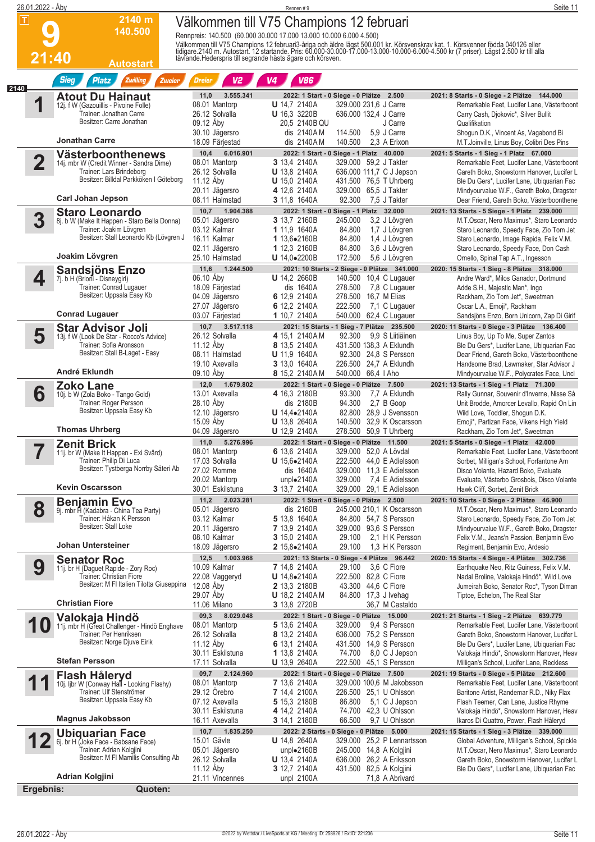| 26.01.2022 - Åby        |                                                                                              |                                                | Rennen #9                                                                                                       |                                                       | Seite 11                                                                                                                                                                                                                         |
|-------------------------|----------------------------------------------------------------------------------------------|------------------------------------------------|-----------------------------------------------------------------------------------------------------------------|-------------------------------------------------------|----------------------------------------------------------------------------------------------------------------------------------------------------------------------------------------------------------------------------------|
| $\overline{\mathbf{I}}$ | 2140 m<br>140.500                                                                            |                                                | Välkommen till V75 Champions 12 februari<br>Rennpreis: 140.500 (60.000 30.000 17.000 13.000 10.000 6.000 4.500) |                                                       |                                                                                                                                                                                                                                  |
| 21:40                   | <b>Autostart</b>                                                                             |                                                |                                                                                                                 |                                                       | Välkommen till V75 Champions 12 februari3-åriga och äldre lägst 500.001 kr. Körsvenskrav kat. 1. Körsvenner födda 040126 eller<br>tidigare.2140 m. Autostart. 12 startande. Pris: 60.000-30.000-17.000-13.000-10.000-6.000-4.500 |
|                         | <b>Sieg</b><br><b>Platz</b><br>Zwilling<br>Zweier                                            | V <sub>2</sub><br><b>Dreier</b>                | V <sub>4</sub><br><b>V86</b>                                                                                    |                                                       |                                                                                                                                                                                                                                  |
| 2140                    | <b>Atout Du Hainaut</b>                                                                      | 3.555.341<br>11,0                              | 2022: 1 Start - 0 Siege - 0 Plätze 2.500                                                                        |                                                       | 2021: 8 Starts - 0 Siege - 2 Plätze 144.000                                                                                                                                                                                      |
| 1                       | 12j. f W (Gazouillis - Pivoine Folle)<br>Trainer: Jonathan Carre<br>Besitzer: Carre Jonathan | 08.01 Mantorp<br>26.12 Solvalla                | <b>U</b> 14,7 2140A<br>U 16,3 3220B                                                                             | 329.000 231,6 J Carre<br>636.000 132,4 J Carre        | Remarkable Feet, Lucifer Lane, Västerboont<br>Carry Cash, Djokovic*, Silver Bullit                                                                                                                                               |
|                         | <b>Jonathan Carre</b>                                                                        | 09.12 Aby<br>30.10 Jägersro<br>18.09 Färiestad | 20,5 2140B QU<br>dis 2140AM<br>114.500<br>dis 2140AM<br>140.500                                                 | J Carre<br>5.9 J Carre<br>2.3 A Erixon                | Qualifikation<br>Shoqun D.K., Vincent As, Vagabond Bi<br>M.T.Joinville, Linus Boy, Colibri Des Pins                                                                                                                              |
|                         |                                                                                              | 10,4<br>6.016.901                              | 2022: 1 Start - 0 Siege - 1 Platz 40.000                                                                        |                                                       | 2021: 5 Starts - 1 Sieg - 1 Platz 67.000                                                                                                                                                                                         |
| $\overline{\mathbf{2}}$ | <b>Västerboonthenews</b><br>14j. mbr W (Credit Winner - Sandra Dime)                         | 08.01 Mantorp                                  | 3 13,4 2140A                                                                                                    | 329.000 59.2 J Takter                                 | Remarkable Feet, Lucifer Lane, Västerboont                                                                                                                                                                                       |
|                         | Trainer: Lars Brindeborg                                                                     | 26.12 Solvalla                                 | <b>U</b> 13,8 2140A                                                                                             | 636.000 111,7 C J Jepson                              | Gareth Boko, Snowstorm Hanover, Lucifer L                                                                                                                                                                                        |
|                         | Besitzer: Billdal Parkköken I Göteborg                                                       | 11.12 Åby                                      | <b>U</b> 15,0 2140A                                                                                             | 431.500 76,5 T Uhrberg                                | Ble Du Gers*, Lucifer Lane, Ubiquarian Fac                                                                                                                                                                                       |
|                         | <b>Carl Johan Jepson</b>                                                                     | 20.11 Jägersro<br>08.11 Halmstad               | 4 12,6 2140A<br>3 11,8 1640A                                                                                    | 329.000 65,5 J Takter<br>92.300<br>7,5 J Takter       | Mindyourvalue W.F., Gareth Boko, Dragster<br>Dear Friend, Gareth Boko, Västerboonthene                                                                                                                                           |
|                         | <b>Staro Leonardo</b>                                                                        | 10,7<br>1.904.388                              | 2022: 1 Start - 0 Siege - 1 Platz 32.000                                                                        |                                                       | 2021: 13 Starts - 5 Siege - 1 Platz 239.000                                                                                                                                                                                      |
| 3                       | 8j. b W (Make It Happen - Staro Bella Donna)                                                 | 05.01 Jägersro                                 | 3 13,7 2160B<br>245.000                                                                                         | 3,2 J Lövgren                                         | M.T.Oscar, Nero Maximus*, Staro Leonardo                                                                                                                                                                                         |
|                         | Trainer: Joakim Lövgren                                                                      | 03.12 Kalmar                                   | 1 11,9 1640A                                                                                                    | 84.800<br>1,7 J Lövgren                               | Staro Leonardo, Speedy Face, Zio Tom Jet                                                                                                                                                                                         |
|                         | Besitzer: Stall Leonardo Kb (Lövgren J                                                       | 16.11 Kalmar                                   | 1 13,6.2160B                                                                                                    | 84.800<br>1,4 J Lövgren                               | Staro Leonardo, Image Rapida, Felix V.M.                                                                                                                                                                                         |
|                         | Joakim Lövgren                                                                               | 02.11 Jägersro<br>25.10 Halmstad               | 1 12,3 2160B<br>$U$ 14,0 $\bullet$ 2200B<br>172.500                                                             | 84.800<br>3,6 J Lövgren<br>5,6 J Lövgren              | Staro Leonardo, Speedy Face, Don Cash<br>Ornello, Spinal Tap A.T., Ingesson                                                                                                                                                      |
|                         |                                                                                              | 11,6<br>1.244.500                              |                                                                                                                 | 2021: 10 Starts - 2 Siege - 0 Plätze 341.000          | 2020: 15 Starts - 1 Sieg - 8 Plätze 318.000                                                                                                                                                                                      |
| 4                       | <b>Sandsjöns Enzo</b><br>7j. b H (Brioni - Disneygirl)                                       | 06.10 Åby                                      | <b>U</b> 14,2 2660B                                                                                             | 140.500 10,4 C Lugauer                                | Andre Ward*, Milos Ganador, Dortmund                                                                                                                                                                                             |
|                         | Trainer: Conrad Lugauer                                                                      | 18.09 Färjestad                                | dis 1640A<br>278.500                                                                                            | 7,8 C Lugauer                                         | Adde S.H., Majestic Man*, Ingo                                                                                                                                                                                                   |
|                         | Besitzer: Uppsala Easy Kb                                                                    | 04.09 Jägersro                                 | 6 12,9 2140A                                                                                                    | 278.500 16,7 M Elias                                  | Rackham, Zio Tom Jet*, Sweetman                                                                                                                                                                                                  |
|                         | <b>Conrad Lugauer</b>                                                                        | 27.07 Jägersro<br>03.07 Färjestad              | 222.500<br>6 12,2 2140A<br>1 10,7 2140A                                                                         | 7,1 C Lugauer<br>540.000 62,4 C Lugauer               | Oscar L.A., Emoji*, Rackham<br>Sandsjöns Enzo, Born Unicorn, Zap Di Girif                                                                                                                                                        |
|                         |                                                                                              | 3.517.118<br>10,7                              | 2021: 15 Starts - 1 Sieg - 7 Plätze 235.500                                                                     |                                                       | 2020: 11 Starts - 0 Siege - 3 Plätze 136.400                                                                                                                                                                                     |
| 5                       | <b>Star Advisor Joli</b><br>13j. f W (Look De Star - Rocco's Advice)                         | 26.12 Solvalla                                 | 4 15.1 2140AM                                                                                                   | 92.300<br>9,9 S Liitiäinen                            | Linus Boy, Up To Me, Super Zantos                                                                                                                                                                                                |
|                         | Trainer: Sofia Aronsson                                                                      | 11.12 Aby                                      | 8 13,5 2140A                                                                                                    | 431.500 138,3 A Eklundh                               | Ble Du Gers*, Lucifer Lane, Ubiquarian Fac                                                                                                                                                                                       |
|                         | Besitzer: Stall B-Laget - Easy                                                               | 08.11 Halmstad                                 | <b>U</b> 11,9 1640A                                                                                             | 92.300 24,8 S Persson                                 | Dear Friend, Gareth Boko, Västerboonthene                                                                                                                                                                                        |
|                         | André Eklundh                                                                                | 19.10 Axevalla<br>09.10 Åby                    | 3 13,0 1640A                                                                                                    | 226.500 24,7 A Eklundh                                | Handsome Brad, Lawmaker, Star Advisor J                                                                                                                                                                                          |
|                         |                                                                                              |                                                | 8 15,2 2140AM                                                                                                   | 540.000 66,4   Aho                                    | Mindyourvalue W.F., Polycrates Face, Uncl                                                                                                                                                                                        |
| 6                       | <b>Zoko Lane</b><br>10j. b W (Zola Boko - Tango Gold)                                        | 1.679.802<br>12,0<br>13.01 Axevalla            | 2022: 1 Start - 0 Siege - 0 Plätze 7.500<br>4 16,3 2180B                                                        | 93.300<br>7,7 A Eklundh                               | 2021: 13 Starts - 1 Sieg - 1 Platz 71.300<br>Rally Gunnar, Souvenir d'Inverne, Nisse Så                                                                                                                                          |
|                         | Trainer: Roger Persson                                                                       | 28.10 Åby                                      | dis 2180B                                                                                                       | 94.300<br>2,7 B Goop                                  | Unit Brodde, Amorcer Levallo, Rapid On Lin                                                                                                                                                                                       |
|                         | Besitzer: Uppsala Easy Kb                                                                    | 12.10 Jägersro                                 | $U$ 14,4 $\bullet$ 2140A                                                                                        | 82.800 28.9 J Svensson                                | Wild Love, Toddler, Shogun D.K.                                                                                                                                                                                                  |
|                         | <b>Thomas Uhrberg</b>                                                                        | 15.09 Aby                                      | <b>U</b> 13,8 2640A                                                                                             | 140.500 32,9 K Oscarsson                              | Emoji*, Partizan Face, Vikens High Yield                                                                                                                                                                                         |
|                         |                                                                                              | 04.09 Jägersro                                 | <b>U</b> 12,9 2140A                                                                                             | 278,500 50.9 T Uhrberg                                | Rackham, Zio Tom Jet*, Sweetman                                                                                                                                                                                                  |
| ▼                       | <b>Zenit Brick</b><br>11j. br W (Make It Happen - Exi Svärd)                                 | 11,0<br>5.276.996<br>08.01 Mantorp             | 2022: 1 Start - 0 Siege - 0 Plätze 11.500<br>6 13,6 2140A                                                       | 329.000 52,0 A Lövdal                                 | 2021: 5 Starts - 0 Siege - 1 Platz 42.000<br>Remarkable Feet, Lucifer Lane, Västerboont                                                                                                                                          |
|                         | Trainer: Philip Di Luca                                                                      | 17.03 Solvalla                                 | <b>U</b> $15,6 \bullet 2140A$                                                                                   | 222.500 44,0 E Adielsson                              | Sorbet, Milligan's School, Forfantone Am                                                                                                                                                                                         |
|                         | Besitzer: Tystberga Norrby Säteri Ab                                                         | 27.02 Romme                                    | dis 1640A                                                                                                       | 329.000 11,3 E Adielsson                              | Disco Volante, Hazard Boko, Evaluate                                                                                                                                                                                             |
|                         | <b>Kevin Oscarsson</b>                                                                       | 20.02 Mantorp                                  | unplo2140A<br>329.000                                                                                           | 7,4 E Adielsson                                       | Evaluate, Västerbo Grosbois, Disco Volante                                                                                                                                                                                       |
|                         |                                                                                              | 30.01 Eskilstuna                               | <b>3</b> 13,7 2140A                                                                                             | 329.000 29,1 E Adielsson                              | Hawk Cliff, Sorbet, Zenit Brick                                                                                                                                                                                                  |
| 8                       | <b>Benjamin Evo</b>                                                                          | 2.023.281<br>11,2<br>05.01 Jägersro            | 2022: 1 Start - 0 Siege - 0 Plätze 2.500<br>dis 2160B                                                           | 245.000 210,1 K Oscarsson                             | 2021: 10 Starts - 0 Siege - 2 Plätze 46.900<br>M.T.Oscar, Nero Maximus*, Staro Leonardo                                                                                                                                          |
|                         | 9j. mbr FI (Kadabra - China Tea Party)<br>Trainer: Håkan K Persson                           | 03.12 Kalmar                                   | 5 13,8 1640A                                                                                                    | 84.800 54,7 S Persson                                 | Staro Leonardo, Speedy Face, Zio Tom Jet                                                                                                                                                                                         |
|                         | Besitzer: Stall Loke                                                                         | 20.11 Jägersro                                 | 7 13,9 2140A                                                                                                    | 329.000 93,6 S Persson                                | Mindyourvalue W.F., Gareth Boko, Dragster                                                                                                                                                                                        |
|                         |                                                                                              | 08.10 Kalmar                                   | 3 15,0 2140A                                                                                                    | 29.100<br>2,1 H K Persson                             | Felix V.M., Jeans'n Passion, Benjamin Evo                                                                                                                                                                                        |
|                         | Johan Untersteiner                                                                           | 18.09 Jägersro                                 | 2 $15,8$ $\bullet$ $2140A$                                                                                      | 1,3 H K Persson<br>29.100                             | Regiment, Benjamin Evo, Ardesio                                                                                                                                                                                                  |
| 9                       | <b>Senator Roc</b>                                                                           | 12,5<br>1.003.968<br>10.09 Kalmar              | 2021: 13 Starts - 0 Siege - 4 Plätze 96.442<br><b>7</b> 14,8 2140A                                              | 29.100<br>3,6 C Fiore                                 | 2020: 15 Starts - 4 Siege - 4 Plätze 302.736<br>Earthquake Neo, Ritz Guiness, Felix V.M.                                                                                                                                         |
|                         | 11j. br H (Daguet Rapide - Zory Roc)<br>Trainer: Christian Fiore                             | 22.08 Vaggeryd                                 | $U$ 14,8 $\bullet$ 2140A                                                                                        | 222.500 82,8 C Fiore                                  | Nadal Broline, Valokaja Hindö*, Wild Love                                                                                                                                                                                        |
|                         | Besitzer: M FI Italien Tilotta Giuseppina                                                    | 12.08 Aby                                      | <b>2</b> 13,3 2180B                                                                                             | 43.300 44,6 C Fiore                                   | Jumeirah Boko, Senator Roc*, Tyson Diman                                                                                                                                                                                         |
|                         |                                                                                              | 29.07 Aby                                      | <b>U</b> 18,2 2140AM                                                                                            | 84.800 17,3 J Ivehag                                  | Tiptoe, Echelon, The Real Star                                                                                                                                                                                                   |
|                         | <b>Christian Fiore</b>                                                                       | 11.06 Milano                                   | 3 13,8 2720B                                                                                                    | 36,7 M Castaldo                                       |                                                                                                                                                                                                                                  |
|                         | Valokaja Hindö                                                                               | 09,3<br>8.029.048<br>08.01 Mantorp             | 2022: 1 Start - 0 Siege - 0 Plätze 15.000<br>5 13,6 2140A<br>329.000                                            | 9,4 S Persson                                         | 2021: 21 Starts - 1 Sieg - 2 Plätze 639.779<br>Remarkable Feet, Lucifer Lane, Västerboont                                                                                                                                        |
|                         | 11j. mbr H (Great Challenger - Hindö Enghave<br>Trainer: Per Henriksen                       | 26.12 Solvalla                                 | 8 13,2 2140A                                                                                                    | 636.000 75,2 S Persson                                | Gareth Boko, Snowstorm Hanover, Lucifer L                                                                                                                                                                                        |
|                         | Besitzer: Norge Djuve Eirik                                                                  | 11.12 Aby                                      | 6 13,1 2140A                                                                                                    | 431.500 14,9 S Persson                                | Ble Du Gers*, Lucifer Lane, Ubiquarian Fac                                                                                                                                                                                       |
|                         |                                                                                              | 30.11 Eskilstuna                               | 1 13,8 2140A                                                                                                    | 74.700<br>8,0 C J Jepson                              | Valokaja Hindö*, Snowstorm Hanover, Heav                                                                                                                                                                                         |
|                         | <b>Stefan Persson</b>                                                                        | 17.11 Solvalla                                 | <b>U</b> 13,9 2640A                                                                                             | 222.500 45,1 S Persson                                | Milligan's School, Lucifer Lane, Reckless                                                                                                                                                                                        |
|                         | <b>Flash Håleryd</b>                                                                         | 09,7<br>2.124.960                              | 2022: 1 Start - 0 Siege - 0 Plätze 7.500                                                                        |                                                       | 2021: 19 Starts - 0 Siege - 5 Plätze 212.600                                                                                                                                                                                     |
|                         | 10j. Ijbr W (Conway Hall - Looking Flashy)<br>Trainer: Ulf Stenströmer                       | 08.01 Mantorp<br>29.12 Orebro                  | <b>7</b> 13,6 2140A<br>7 14,4 2100A                                                                             | 329.000 100,6 M Jakobsson<br>226.500 25,1 U Ohlsson   | Remarkable Feet, Lucifer Lane, Västerboont<br>Baritone Artist, Randemar R.D., Niky Flax                                                                                                                                          |
|                         | Besitzer: Uppsala Easy Kb                                                                    | 07.12 Axevalla                                 | 5 15,3 2180B                                                                                                    | 5,1 C J Jepson<br>86.800                              | Flash Teemer, Can Lane, Justice Rhyme                                                                                                                                                                                            |
|                         |                                                                                              | 30.11 Eskilstuna                               | 4 14,2 2140A                                                                                                    | 74.700 42,3 U Ohlsson                                 | Valokaja Hindö*, Snowstorm Hanover, Heav                                                                                                                                                                                         |
|                         | <b>Magnus Jakobsson</b>                                                                      | 16.11 Axevalla                                 | 3 14,1 2180B                                                                                                    | 66.500<br>9,7 U Ohlsson                               | Ikaros Di Quattro, Power, Flash Håleryd                                                                                                                                                                                          |
|                         | <b>Ubiquarian Face</b>                                                                       | 1.835.250<br>10,7                              | 2022: 2 Starts - 0 Siege - 0 Plätze 5.000                                                                       |                                                       | 2021: 15 Starts - 1 Sieg - 3 Plätze 339.000                                                                                                                                                                                      |
|                         | 6j. br H (Joke Face - Babsane Face)<br>Trainer: Adrian Kolgjini                              | 15.01 Gävle<br>05.01 Jägersro                  | <b>U</b> 14,8 2640A<br>unpl $\bullet$ 2160B                                                                     | 329.000 25,2 P Lennartsson<br>245.000 14,8 A Kolgjini | Global Adventure, Milligan's School, Spickle<br>M.T.Oscar, Nero Maximus*, Staro Leonardo                                                                                                                                         |
|                         | Besitzer: M FI Mamilis Consulting Ab                                                         | 26.12 Solvalla                                 | <b>U</b> 13,4 2140A                                                                                             | 636.000 26,2 A Eriksson                               | Gareth Boko, Snowstorm Hanover, Lucifer L                                                                                                                                                                                        |
|                         |                                                                                              | 11.12 Aby                                      | <b>3</b> 12,7 2140A                                                                                             | 431.500 82,5 A Kolgjini                               | Ble Du Gers*, Lucifer Lane, Ubiquarian Fac                                                                                                                                                                                       |
|                         | Adrian Kolgjini                                                                              | 21.11 Vincennes                                | unpl 2100A                                                                                                      | 71,8 A Abrivard                                       |                                                                                                                                                                                                                                  |
| Ergebnis:               | Quoten:                                                                                      |                                                |                                                                                                                 |                                                       |                                                                                                                                                                                                                                  |